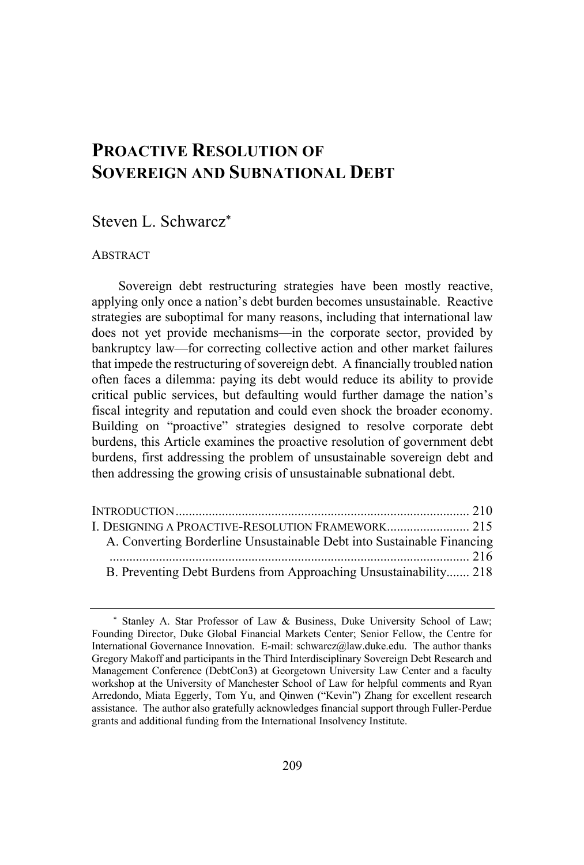# **PROACTIVE RESOLUTION OF SOVEREIGN AND SUBNATIONAL DEBT**

# Steven L. Schwarcz\*

## ABSTRACT

Sovereign debt restructuring strategies have been mostly reactive, applying only once a nation's debt burden becomes unsustainable. Reactive strategies are suboptimal for many reasons, including that international law does not yet provide mechanisms—in the corporate sector, provided by bankruptcy law—for correcting collective action and other market failures that impede the restructuring of sovereign debt. A financially troubled nation often faces a dilemma: paying its debt would reduce its ability to provide critical public services, but defaulting would further damage the nation's fiscal integrity and reputation and could even shock the broader economy. Building on "proactive" strategies designed to resolve corporate debt burdens, this Article examines the proactive resolution of government debt burdens, first addressing the problem of unsustainable sovereign debt and then addressing the growing crisis of unsustainable subnational debt.

| A. Converting Borderline Unsustainable Debt into Sustainable Financing |  |
|------------------------------------------------------------------------|--|
|                                                                        |  |
| B. Preventing Debt Burdens from Approaching Unsustainability 218       |  |

<sup>\*</sup> Stanley A. Star Professor of Law & Business, Duke University School of Law; Founding Director, Duke Global Financial Markets Center; Senior Fellow, the Centre for International Governance Innovation. E-mail: schwarcz@law.duke.edu. The author thanks Gregory Makoff and participants in the Third Interdisciplinary Sovereign Debt Research and Management Conference (DebtCon3) at Georgetown University Law Center and a faculty workshop at the University of Manchester School of Law for helpful comments and Ryan Arredondo, Miata Eggerly, Tom Yu, and Qinwen ("Kevin") Zhang for excellent research assistance. The author also gratefully acknowledges financial support through Fuller-Perdue grants and additional funding from the International Insolvency Institute.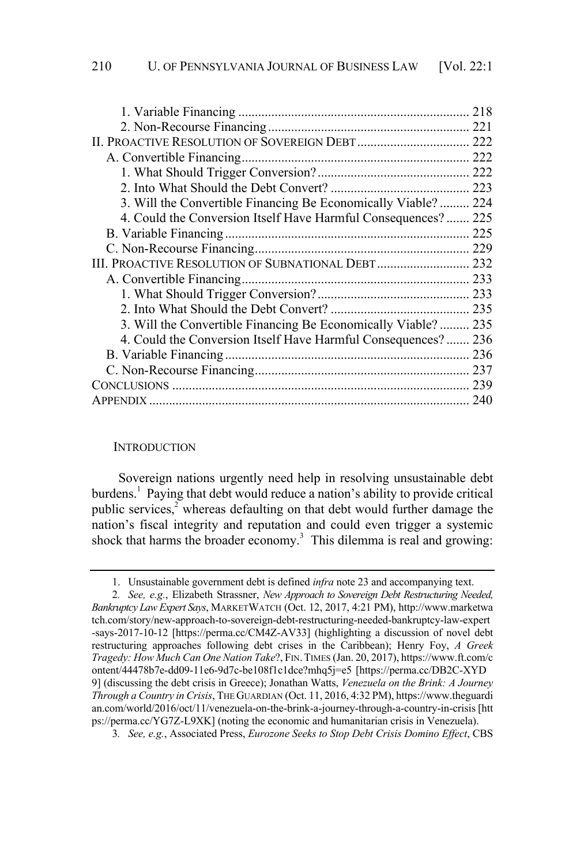|                                                               | 218 |
|---------------------------------------------------------------|-----|
|                                                               |     |
| II. PROACTIVE RESOLUTION OF SOVEREIGN DEBT 222                |     |
|                                                               | 222 |
|                                                               | 222 |
|                                                               |     |
| 3. Will the Convertible Financing Be Economically Viable?     | 224 |
| 4. Could the Conversion Itself Have Harmful Consequences?     | 225 |
|                                                               | 225 |
|                                                               |     |
| III. PROACTIVE RESOLUTION OF SUBNATIONAL DEBT 232             |     |
|                                                               | 233 |
|                                                               |     |
|                                                               |     |
| 3. Will the Convertible Financing Be Economically Viable? 235 |     |
| 4. Could the Conversion Itself Have Harmful Consequences?     | 236 |
|                                                               | 236 |
|                                                               |     |
|                                                               |     |
| APPENDIX.                                                     | 240 |

### **INTRODUCTION**

Sovereign nations urgently need help in resolving unsustainable debt burdens.<sup>1</sup> Paying that debt would reduce a nation's ability to provide critical public services,<sup>2</sup> whereas defaulting on that debt would further damage the nation's fiscal integrity and reputation and could even trigger a systemic shock that harms the broader economy.<sup>3</sup> This dilemma is real and growing:

<sup>1.</sup> Unsustainable government debt is defined *infra* note 23 and accompanying text.

<sup>2</sup>*. See, e.g.*, Elizabeth Strassner, *New Approach to Sovereign Debt Restructuring Needed, Bankruptcy LawExpert Says*, MARKETWATCH (Oct. 12, 2017, 4:21 PM), http://www.marketwa tch.com/story/new-approach-to-sovereign-debt-restructuring-needed-bankruptcy-law-expert -says-2017-10-12 [https://perma.cc/CM4Z-AV33] (highlighting a discussion of novel debt restructuring approaches following debt crises in the Caribbean); Henry Foy, *A Greek Tragedy: How Much Can One Nation Take*?, FIN.TIMES (Jan. 20, 2017), https://www.ft.com/c ontent/44478b7e-dd09-11e6-9d7c-be108f1c1dce?mhq5j=e5 [https://perma.cc/DB2C-XYD 9] (discussing the debt crisis in Greece); Jonathan Watts, *Venezuela on the Brink: A Journey Through a Country in Crisis*, THE GUARDIAN (Oct. 11, 2016, 4:32 PM), https://www.theguardi an.com/world/2016/oct/11/venezuela-on-the-brink-a-journey-through-a-country-in-crisis [htt ps://perma.cc/YG7Z-L9XK] (noting the economic and humanitarian crisis in Venezuela).

<sup>3</sup>*. See, e.g.*, Associated Press, *Eurozone Seeks to Stop Debt Crisis Domino Effect*, CBS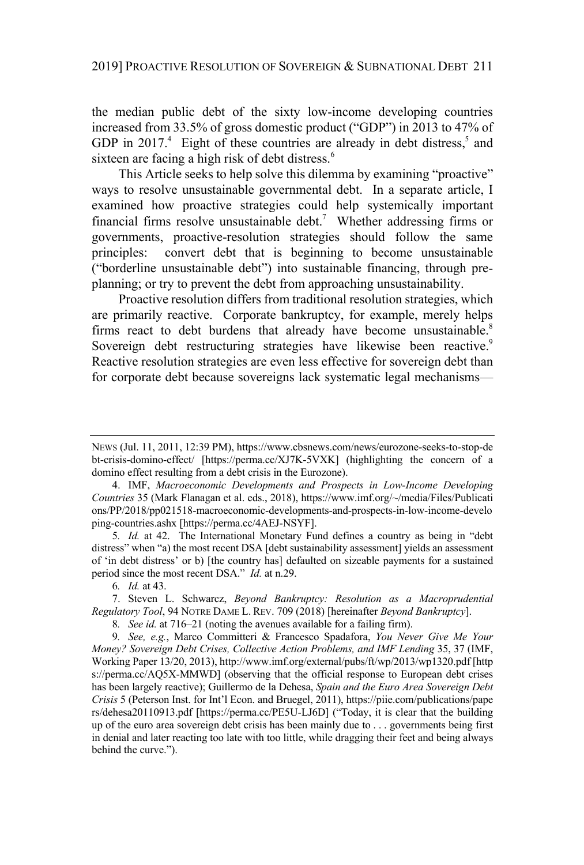the median public debt of the sixty low-income developing countries increased from 33.5% of gross domestic product ("GDP") in 2013 to 47% of GDP in 2017.<sup>4</sup> Eight of these countries are already in debt distress, and sixteen are facing a high risk of debt distress.<sup>6</sup>

This Article seeks to help solve this dilemma by examining "proactive" ways to resolve unsustainable governmental debt. In a separate article, I examined how proactive strategies could help systemically important financial firms resolve unsustainable debt.<sup>7</sup> Whether addressing firms or governments, proactive-resolution strategies should follow the same principles: convert debt that is beginning to become unsustainable ("borderline unsustainable debt") into sustainable financing, through preplanning; or try to prevent the debt from approaching unsustainability.

Proactive resolution differs from traditional resolution strategies, which are primarily reactive. Corporate bankruptcy, for example, merely helps firms react to debt burdens that already have become unsustainable. $8$ Sovereign debt restructuring strategies have likewise been reactive.<sup>9</sup> Reactive resolution strategies are even less effective for sovereign debt than for corporate debt because sovereigns lack systematic legal mechanisms—

5*. Id.* at 42. The International Monetary Fund defines a country as being in "debt distress" when "a) the most recent DSA [debt sustainability assessment] yields an assessment of 'in debt distress' or b) [the country has] defaulted on sizeable payments for a sustained period since the most recent DSA." *Id.* at n.29.

6*. Id.* at 43.

7. Steven L. Schwarcz, *Beyond Bankruptcy: Resolution as a Macroprudential Regulatory Tool*, 94 NOTRE DAME L. REV. 709 (2018) [hereinafter *Beyond Bankruptcy*].

8*. See id.* at 716–21 (noting the avenues available for a failing firm).

9*. See, e.g.*, Marco Committeri & Francesco Spadafora, *You Never Give Me Your Money? Sovereign Debt Crises, Collective Action Problems, and IMF Lending* 35, 37 (IMF, Working Paper 13/20, 2013), http://www.imf.org/external/pubs/ft/wp/2013/wp1320.pdf [http s://perma.cc/AQ5X-MMWD] (observing that the official response to European debt crises has been largely reactive); Guillermo de la Dehesa, *Spain and the Euro Area Sovereign Debt Crisis* 5 (Peterson Inst. for Int'l Econ. and Bruegel, 2011), https://piie.com/publications/pape rs/dehesa20110913.pdf [https://perma.cc/PE5U-LJ6D] ("Today, it is clear that the building up of the euro area sovereign debt crisis has been mainly due to . . . governments being first in denial and later reacting too late with too little, while dragging their feet and being always behind the curve.").

NEWS (Jul. 11, 2011, 12:39 PM), https://www.cbsnews.com/news/eurozone-seeks-to-stop-de bt-crisis-domino-effect/ [https://perma.cc/XJ7K-5VXK] (highlighting the concern of a domino effect resulting from a debt crisis in the Eurozone).

<sup>4.</sup> IMF, *Macroeconomic Developments and Prospects in Low-Income Developing Countries* 35 (Mark Flanagan et al. eds., 2018), https://www.imf.org/~/media/Files/Publicati ons/PP/2018/pp021518-macroeconomic-developments-and-prospects-in-low-income-develo ping-countries.ashx [https://perma.cc/4AEJ-NSYF].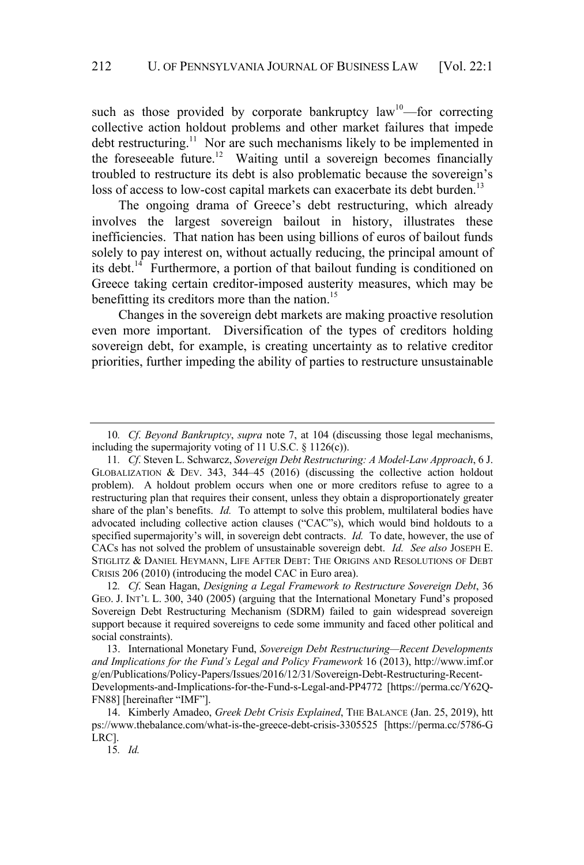such as those provided by corporate bankruptcy  $law^{10}$ —for correcting collective action holdout problems and other market failures that impede debt restructuring.<sup>11</sup> Nor are such mechanisms likely to be implemented in the foreseeable future.<sup>12</sup> Waiting until a sovereign becomes financially troubled to restructure its debt is also problematic because the sovereign's loss of access to low-cost capital markets can exacerbate its debt burden.<sup>13</sup>

The ongoing drama of Greece's debt restructuring, which already involves the largest sovereign bailout in history, illustrates these inefficiencies. That nation has been using billions of euros of bailout funds solely to pay interest on, without actually reducing, the principal amount of its debt.<sup>14</sup> Furthermore, a portion of that bailout funding is conditioned on Greece taking certain creditor-imposed austerity measures, which may be benefitting its creditors more than the nation.<sup>15</sup>

Changes in the sovereign debt markets are making proactive resolution even more important. Diversification of the types of creditors holding sovereign debt, for example, is creating uncertainty as to relative creditor priorities, further impeding the ability of parties to restructure unsustainable

15*. Id.*

<sup>10</sup>*. Cf*. *Beyond Bankruptcy*, *supra* note 7, at 104 (discussing those legal mechanisms, including the supermajority voting of 11 U.S.C. § 1126(c)).

<sup>11</sup>*. Cf*. Steven L. Schwarcz, *Sovereign Debt Restructuring: A Model-Law Approach*, 6 J. GLOBALIZATION & DEV. 343, 344–45 (2016) (discussing the collective action holdout problem). A holdout problem occurs when one or more creditors refuse to agree to a restructuring plan that requires their consent, unless they obtain a disproportionately greater share of the plan's benefits. *Id.* To attempt to solve this problem, multilateral bodies have advocated including collective action clauses ("CAC"s), which would bind holdouts to a specified supermajority's will, in sovereign debt contracts. *Id.* To date, however, the use of CACs has not solved the problem of unsustainable sovereign debt. *Id. See also* JOSEPH E. STIGLITZ & DANIEL HEYMANN, LIFE AFTER DEBT: THE ORIGINS AND RESOLUTIONS OF DEBT CRISIS 206 (2010) (introducing the model CAC in Euro area).

<sup>12</sup>*. Cf*. Sean Hagan, *Designing a Legal Framework to Restructure Sovereign Debt*, 36 GEO. J. INT'L L. 300, 340 (2005) (arguing that the International Monetary Fund's proposed Sovereign Debt Restructuring Mechanism (SDRM) failed to gain widespread sovereign support because it required sovereigns to cede some immunity and faced other political and social constraints).

<sup>13.</sup> International Monetary Fund, *Sovereign Debt Restructuring—Recent Developments and Implications for the Fund's Legal and Policy Framework* 16 (2013), http://www.imf.or g/en/Publications/Policy-Papers/Issues/2016/12/31/Sovereign-Debt-Restructuring-Recent-Developments-and-Implications-for-the-Fund-s-Legal-and-PP4772 [https://perma.cc/Y62Q-FN88] [hereinafter "IMF"].

<sup>14.</sup> Kimberly Amadeo, *Greek Debt Crisis Explained*, THE BALANCE (Jan. 25, 2019), htt ps://www.thebalance.com/what-is-the-greece-debt-crisis-3305525 [https://perma.cc/5786-G LRC].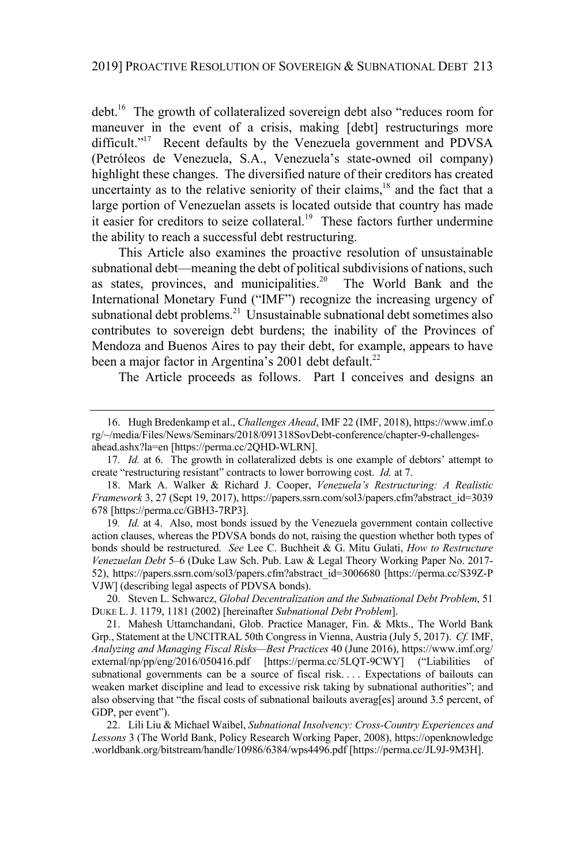debt.<sup>16</sup> The growth of collateralized sovereign debt also "reduces room for maneuver in the event of a crisis, making [debt] restructurings more difficult."<sup>17</sup> Recent defaults by the Venezuela government and PDVSA (Petróleos de Venezuela, S.A., Venezuela's state-owned oil company) highlight these changes. The diversified nature of their creditors has created uncertainty as to the relative seniority of their claims,<sup>18</sup> and the fact that a large portion of Venezuelan assets is located outside that country has made it easier for creditors to seize collateral.<sup>19</sup> These factors further undermine the ability to reach a successful debt restructuring.

This Article also examines the proactive resolution of unsustainable subnational debt—meaning the debt of political subdivisions of nations, such as states, provinces, and municipalities.<sup>20</sup> The World Bank and the International Monetary Fund ("IMF") recognize the increasing urgency of subnational debt problems.<sup>21</sup> Unsustainable subnational debt sometimes also contributes to sovereign debt burdens; the inability of the Provinces of Mendoza and Buenos Aires to pay their debt, for example, appears to have been a major factor in Argentina's 2001 debt default.<sup>22</sup>

The Article proceeds as follows. Part I conceives and designs an

20. Steven L. Schwarcz, *Global Decentralization and the Subnational Debt Problem*, 51 DUKE L.J. 1179, 1181 (2002) [hereinafter *Subnational Debt Problem*].

21. Mahesh Uttamchandani, Glob. Practice Manager, Fin. & Mkts., The World Bank Grp., Statement at the UNCITRAL 50th Congress in Vienna, Austria (July 5, 2017). *Cf.* IMF, *Analyzing and Managing Fiscal Risks—Best Practices* 40 (June 2016), https://www.imf.org/ external/np/pp/eng/2016/050416.pdf [https://perma.cc/5LQT-9CWY] ("Liabilities of subnational governments can be a source of fiscal risk. . . . Expectations of bailouts can weaken market discipline and lead to excessive risk taking by subnational authorities"; and also observing that "the fiscal costs of subnational bailouts averag[es] around 3.5 percent, of GDP, per event").

22. Lili Liu & Michael Waibel, *Subnational Insolvency: Cross-Country Experiences and Lessons* 3 (The World Bank, Policy Research Working Paper, 2008), https://openknowledge .worldbank.org/bitstream/handle/10986/6384/wps4496.pdf [https://perma.cc/JL9J-9M3H].

<sup>16.</sup> Hugh Bredenkamp et al., *Challenges Ahead*, IMF 22 (IMF, 2018), https://www.imf.o rg/~/media/Files/News/Seminars/2018/091318SovDebt-conference/chapter-9-challengesahead.ashx?la=en [https://perma.cc/2QHD-WLRN].

<sup>17</sup>*. Id.* at 6. The growth in collateralized debts is one example of debtors' attempt to create "restructuring resistant" contracts to lower borrowing cost. *Id.* at 7.

<sup>18.</sup> Mark A. Walker & Richard J. Cooper, *Venezuela's Restructuring: A Realistic Framework* 3, 27 (Sept 19, 2017), https://papers.ssrn.com/sol3/papers.cfm?abstract\_id=3039 678 [https://perma.cc/GBH3-7RP3].

<sup>19</sup>*. Id.* at 4. Also, most bonds issued by the Venezuela government contain collective action clauses, whereas the PDVSA bonds do not, raising the question whether both types of bonds should be restructured. *See* Lee C. Buchheit & G. Mitu Gulati, *How to Restructure Venezuelan Debt* 5–6 (Duke Law Sch. Pub. Law & Legal Theory Working Paper No. 2017- 52), https://papers.ssrn.com/sol3/papers.cfm?abstract\_id=3006680 [https://perma.cc/S39Z-P VJW] (describing legal aspects of PDVSA bonds).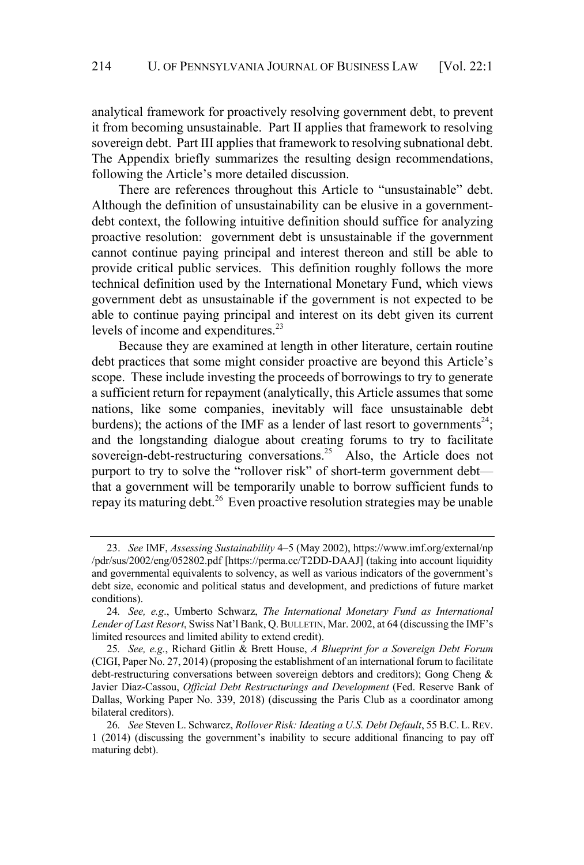analytical framework for proactively resolving government debt, to prevent it from becoming unsustainable. Part II applies that framework to resolving sovereign debt. Part III applies that framework to resolving subnational debt. The Appendix briefly summarizes the resulting design recommendations, following the Article's more detailed discussion.

There are references throughout this Article to "unsustainable" debt. Although the definition of unsustainability can be elusive in a governmentdebt context, the following intuitive definition should suffice for analyzing proactive resolution: government debt is unsustainable if the government cannot continue paying principal and interest thereon and still be able to provide critical public services. This definition roughly follows the more technical definition used by the International Monetary Fund, which views government debt as unsustainable if the government is not expected to be able to continue paying principal and interest on its debt given its current levels of income and expenditures.<sup>23</sup>

Because they are examined at length in other literature, certain routine debt practices that some might consider proactive are beyond this Article's scope. These include investing the proceeds of borrowings to try to generate a sufficient return for repayment (analytically, this Article assumes that some nations, like some companies, inevitably will face unsustainable debt burdens); the actions of the IMF as a lender of last resort to governments<sup>24</sup>; and the longstanding dialogue about creating forums to try to facilitate sovereign-debt-restructuring conversations.<sup>25</sup> Also, the Article does not purport to try to solve the "rollover risk" of short-term government debt that a government will be temporarily unable to borrow sufficient funds to repay its maturing debt. <sup>26</sup> Even proactive resolution strategies may be unable

<sup>23.</sup> *See* IMF, *Assessing Sustainability* 4–5 (May 2002), https://www.imf.org/external/np /pdr/sus/2002/eng/052802.pdf [https://perma.cc/T2DD-DAAJ] (taking into account liquidity and governmental equivalents to solvency, as well as various indicators of the government's debt size, economic and political status and development, and predictions of future market conditions).

<sup>24</sup>*. See, e.g*., Umberto Schwarz, *The International Monetary Fund as International Lender of Last Resort*, Swiss Nat'l Bank, Q.BULLETIN, Mar. 2002, at 64 (discussing the IMF's limited resources and limited ability to extend credit).

<sup>25</sup>*. See, e.g.*, Richard Gitlin & Brett House, *A Blueprint for a Sovereign Debt Forum* (CIGI, Paper No. 27, 2014) (proposing the establishment of an international forum to facilitate debt-restructuring conversations between sovereign debtors and creditors); Gong Cheng & Javier Díaz-Cassou, *Official Debt Restructurings and Development* (Fed. Reserve Bank of Dallas, Working Paper No. 339, 2018) (discussing the Paris Club as a coordinator among bilateral creditors).

<sup>26</sup>*. See* Steven L. Schwarcz, *Rollover Risk: Ideating a U.S. Debt Default*, 55 B.C. L.REV. 1 (2014) (discussing the government's inability to secure additional financing to pay off maturing debt).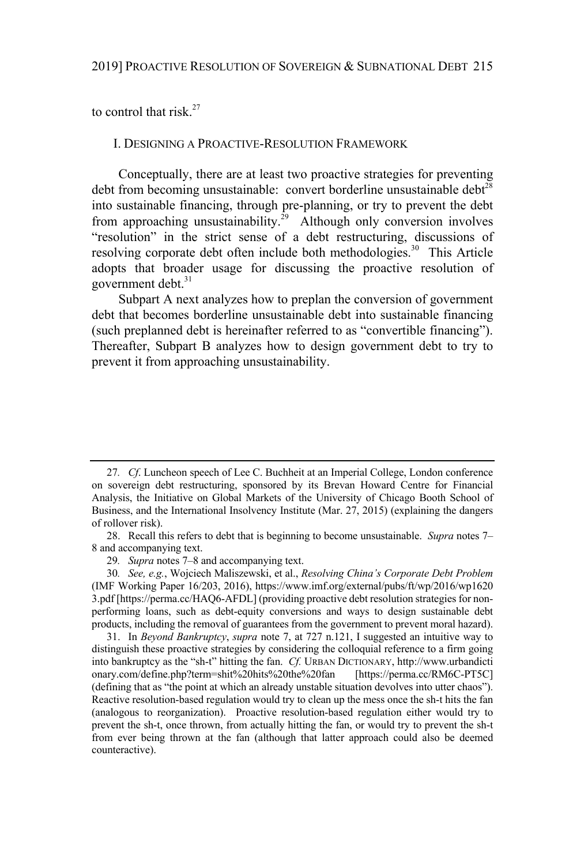to control that risk. $27$ 

#### I. DESIGNING A PROACTIVE-RESOLUTION FRAMEWORK

Conceptually, there are at least two proactive strategies for preventing debt from becoming unsustainable: convert borderline unsustainable debt<sup>28</sup> into sustainable financing, through pre-planning, or try to prevent the debt from approaching unsustainability.<sup>29</sup> Although only conversion involves "resolution" in the strict sense of a debt restructuring, discussions of resolving corporate debt often include both methodologies.<sup>30</sup> This Article adopts that broader usage for discussing the proactive resolution of government debt.<sup>31</sup>

Subpart A next analyzes how to preplan the conversion of government debt that becomes borderline unsustainable debt into sustainable financing (such preplanned debt is hereinafter referred to as "convertible financing"). Thereafter, Subpart B analyzes how to design government debt to try to prevent it from approaching unsustainability.

<sup>27</sup>*. Cf*. Luncheon speech of Lee C. Buchheit at an Imperial College, London conference on sovereign debt restructuring, sponsored by its Brevan Howard Centre for Financial Analysis, the Initiative on Global Markets of the University of Chicago Booth School of Business, and the International Insolvency Institute (Mar. 27, 2015) (explaining the dangers of rollover risk).

<sup>28.</sup> Recall this refers to debt that is beginning to become unsustainable. *Supra* notes 7– 8 and accompanying text.

<sup>29</sup>*. Supra* notes 7–8 and accompanying text.

<sup>30</sup>*. See, e.g.*, Wojciech Maliszewski, et al., *Resolving China's Corporate Debt Problem* (IMF Working Paper 16/203, 2016), https://www.imf.org/external/pubs/ft/wp/2016/wp1620 3.pdf [https://perma.cc/HAQ6-AFDL] (providing proactive debt resolution strategies for nonperforming loans, such as debt-equity conversions and ways to design sustainable debt products, including the removal of guarantees from the government to prevent moral hazard).

<sup>31.</sup> In *Beyond Bankruptcy*, *supra* note 7, at 727 n.121, I suggested an intuitive way to distinguish these proactive strategies by considering the colloquial reference to a firm going into bankruptcy as the "sh-t" hitting the fan. *Cf.* URBAN DICTIONARY, http://www.urbandicti onary.com/define.php?term=shit%20hits%20the%20fan [https://perma.cc/RM6C-PT5C] (defining that as "the point at which an already unstable situation devolves into utter chaos"). Reactive resolution-based regulation would try to clean up the mess once the sh-t hits the fan (analogous to reorganization). Proactive resolution-based regulation either would try to prevent the sh-t, once thrown, from actually hitting the fan, or would try to prevent the sh-t from ever being thrown at the fan (although that latter approach could also be deemed counteractive).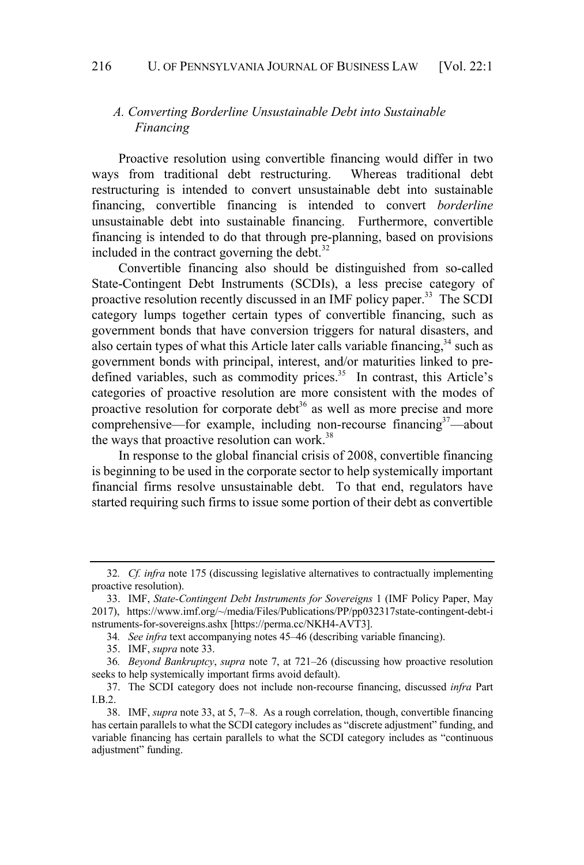#### 216 U. OF PENNSYLVANIA JOURNAL OF BUSINESS LAW [Vol. 22:1]

# *A. Converting Borderline Unsustainable Debt into Sustainable Financing*

Proactive resolution using convertible financing would differ in two ways from traditional debt restructuring. Whereas traditional debt restructuring is intended to convert unsustainable debt into sustainable financing, convertible financing is intended to convert *borderline* unsustainable debt into sustainable financing. Furthermore, convertible financing is intended to do that through pre-planning, based on provisions included in the contract governing the debt.<sup>32</sup>

Convertible financing also should be distinguished from so-called State-Contingent Debt Instruments (SCDIs), a less precise category of proactive resolution recently discussed in an IMF policy paper.<sup>33</sup> The SCDI category lumps together certain types of convertible financing, such as government bonds that have conversion triggers for natural disasters, and also certain types of what this Article later calls variable financing,  $34$  such as government bonds with principal, interest, and/or maturities linked to predefined variables, such as commodity prices.<sup>35</sup> In contrast, this Article's categories of proactive resolution are more consistent with the modes of proactive resolution for corporate debt<sup>36</sup> as well as more precise and more comprehensive—for example, including non-recourse financing $37$ —about the ways that proactive resolution can work.<sup>38</sup>

In response to the global financial crisis of 2008, convertible financing is beginning to be used in the corporate sector to help systemically important financial firms resolve unsustainable debt. To that end, regulators have started requiring such firms to issue some portion of their debt as convertible

<sup>32</sup>*. Cf. infra* note 175 (discussing legislative alternatives to contractually implementing proactive resolution).

<sup>33.</sup> IMF, *State-Contingent Debt Instruments for Sovereigns* 1 (IMF Policy Paper, May 2017), https://www.imf.org/~/media/Files/Publications/PP/pp032317state-contingent-debt-i nstruments-for-sovereigns.ashx [https://perma.cc/NKH4-AVT3].

<sup>34</sup>*. See infra* text accompanying notes 45–46 (describing variable financing).

<sup>35.</sup> IMF, *supra* note 33.

<sup>36</sup>*. Beyond Bankruptcy*, *supra* note 7, at 721–26 (discussing how proactive resolution seeks to help systemically important firms avoid default).

<sup>37.</sup> The SCDI category does not include non-recourse financing, discussed *infra* Part I.B.2.

<sup>38.</sup> IMF, *supra* note 33, at 5, 7–8. As a rough correlation, though, convertible financing has certain parallels to what the SCDI category includes as "discrete adjustment" funding, and variable financing has certain parallels to what the SCDI category includes as "continuous adjustment" funding.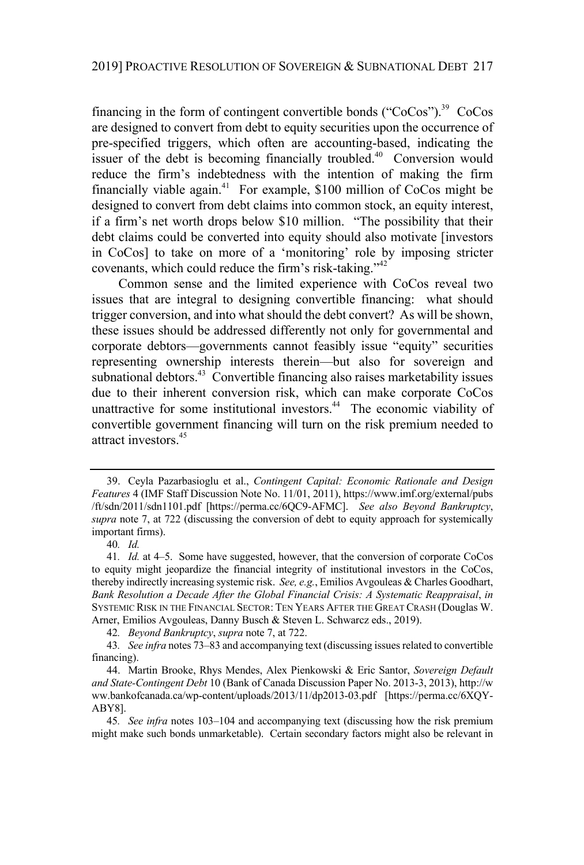financing in the form of contingent convertible bonds ("CoCos").<sup>39</sup> CoCos are designed to convert from debt to equity securities upon the occurrence of pre-specified triggers, which often are accounting-based, indicating the issuer of the debt is becoming financially troubled.<sup>40</sup> Conversion would reduce the firm's indebtedness with the intention of making the firm financially viable again.<sup>41</sup> For example, \$100 million of CoCos might be designed to convert from debt claims into common stock, an equity interest, if a firm's net worth drops below \$10 million. "The possibility that their debt claims could be converted into equity should also motivate [investors in CoCos] to take on more of a 'monitoring' role by imposing stricter covenants, which could reduce the firm's risk-taking."<sup>42</sup>

Common sense and the limited experience with CoCos reveal two issues that are integral to designing convertible financing: what should trigger conversion, and into what should the debt convert? As will be shown, these issues should be addressed differently not only for governmental and corporate debtors—governments cannot feasibly issue "equity" securities representing ownership interests therein—but also for sovereign and subnational debtors.<sup>43</sup> Convertible financing also raises marketability issues due to their inherent conversion risk, which can make corporate CoCos unattractive for some institutional investors.<sup>44</sup> The economic viability of convertible government financing will turn on the risk premium needed to attract investors.<sup>45</sup>

40*. Id.*

42*. Beyond Bankruptcy*, *supra* note 7, at 722.

43*. See infra* notes 73–83 and accompanying text (discussing issuesrelated to convertible financing).

<sup>39.</sup> Ceyla Pazarbasioglu et al., *Contingent Capital: Economic Rationale and Design Features* 4 (IMF Staff Discussion Note No. 11/01, 2011), https://www.imf.org/external/pubs /ft/sdn/2011/sdn1101.pdf [https://perma.cc/6QC9-AFMC]. *See also Beyond Bankruptcy*, *supra* note 7, at 722 (discussing the conversion of debt to equity approach for systemically important firms).

<sup>41</sup>*. Id.* at 4–5. Some have suggested, however, that the conversion of corporate CoCos to equity might jeopardize the financial integrity of institutional investors in the CoCos, thereby indirectly increasing systemic risk. *See, e.g.*, Emilios Avgouleas & Charles Goodhart, *Bank Resolution a Decade After the Global Financial Crisis: A Systematic Reappraisal*, *in* SYSTEMIC RISK IN THE FINANCIAL SECTOR: TEN YEARS AFTER THE GREAT CRASH (Douglas W. Arner, Emilios Avgouleas, Danny Busch & Steven L. Schwarcz eds., 2019).

<sup>44.</sup> Martin Brooke, Rhys Mendes, Alex Pienkowski & Eric Santor, *Sovereign Default and State-Contingent Debt* 10 (Bank of Canada Discussion Paper No. 2013-3, 2013), http://w ww.bankofcanada.ca/wp-content/uploads/2013/11/dp2013-03.pdf [https://perma.cc/6XQY-ABY8].

<sup>45</sup>*. See infra* notes 103–104 and accompanying text (discussing how the risk premium might make such bonds unmarketable). Certain secondary factors might also be relevant in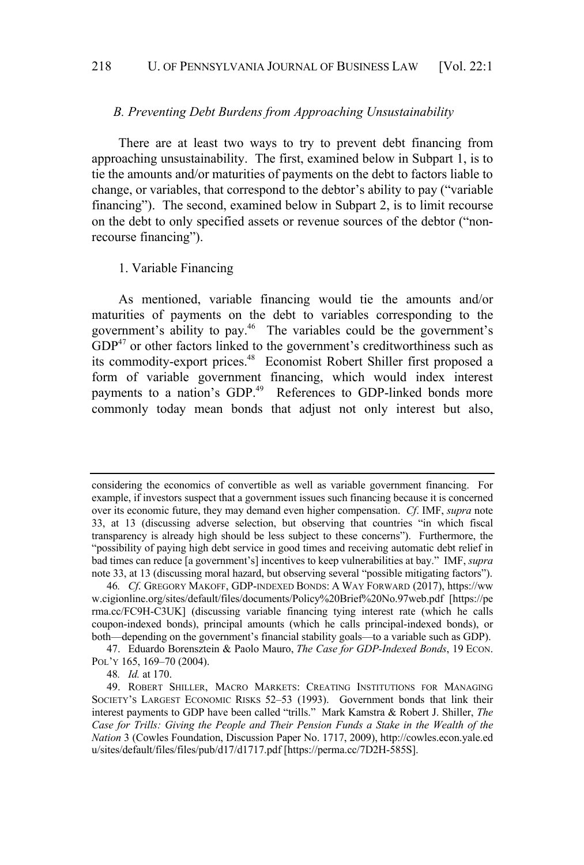# *B. Preventing Debt Burdens from Approaching Unsustainability*

There are at least two ways to try to prevent debt financing from approaching unsustainability. The first, examined below in Subpart 1, is to tie the amounts and/or maturities of payments on the debt to factors liable to change, or variables, that correspond to the debtor's ability to pay ("variable financing"). The second, examined below in Subpart 2, is to limit recourse on the debt to only specified assets or revenue sources of the debtor ("nonrecourse financing").

#### 1. Variable Financing

As mentioned, variable financing would tie the amounts and/or maturities of payments on the debt to variables corresponding to the government's ability to pay.<sup>46</sup> The variables could be the government's  $GDP<sup>47</sup>$  or other factors linked to the government's creditworthiness such as its commodity-export prices.<sup>48</sup> Economist Robert Shiller first proposed a form of variable government financing, which would index interest payments to a nation's GDP.<sup>49</sup> References to GDP-linked bonds more commonly today mean bonds that adjust not only interest but also,

considering the economics of convertible as well as variable government financing. For example, if investors suspect that a government issues such financing because it is concerned over its economic future, they may demand even higher compensation. *Cf*. IMF, *supra* note 33, at 13 (discussing adverse selection, but observing that countries "in which fiscal transparency is already high should be less subject to these concerns"). Furthermore, the "possibility of paying high debt service in good times and receiving automatic debt relief in bad times can reduce [a government's] incentives to keep vulnerabilities at bay." IMF, *supra* note 33, at 13 (discussing moral hazard, but observing several "possible mitigating factors").

<sup>46</sup>*. Cf*. GREGORY MAKOFF, GDP-INDEXED BONDS: A WAY FORWARD (2017), https://ww w.cigionline.org/sites/default/files/documents/Policy%20Brief%20No.97web.pdf [https://pe rma.cc/FC9H-C3UK] (discussing variable financing tying interest rate (which he calls coupon-indexed bonds), principal amounts (which he calls principal-indexed bonds), or both—depending on the government's financial stability goals—to a variable such as GDP).

<sup>47.</sup> Eduardo Borensztein & Paolo Mauro, *The Case for GDP-Indexed Bonds*, 19 ECON. Pol'y 165, 169-70 (2004).

<sup>48</sup>*. Id.* at 170.

<sup>49.</sup> ROBERT SHILLER, MACRO MARKETS: CREATING INSTITUTIONS FOR MANAGING SOCIETY'S LARGEST ECONOMIC RISKS 52–53 (1993). Government bonds that link their interest payments to GDP have been called "trills." Mark Kamstra & Robert J. Shiller, *The Case for Trills: Giving the People and Their Pension Funds a Stake in the Wealth of the Nation* 3 (Cowles Foundation, Discussion Paper No. 1717, 2009), http://cowles.econ.yale.ed u/sites/default/files/files/pub/d17/d1717.pdf [https://perma.cc/7D2H-585S].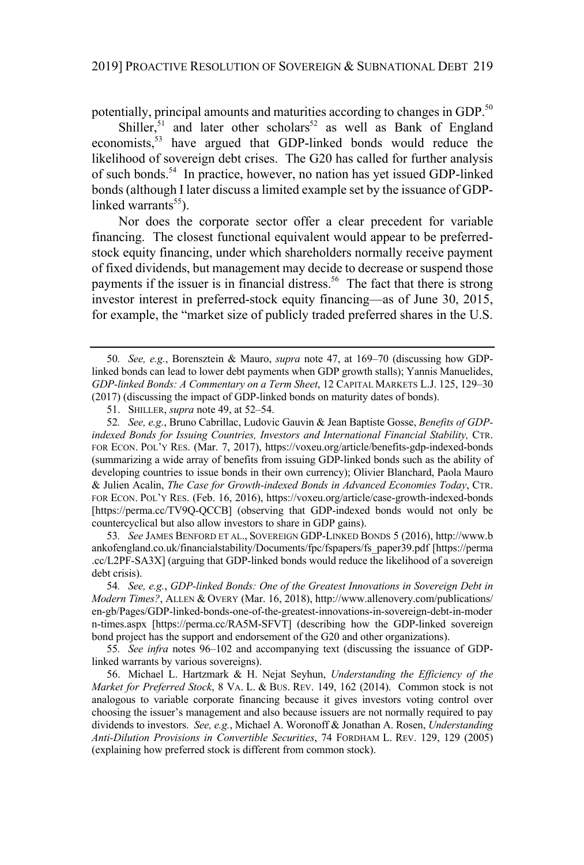potentially, principal amounts and maturities according to changes in GDP.<sup>50</sup>

Shiller,<sup>51</sup> and later other scholars<sup>52</sup> as well as Bank of England economists,<sup>53</sup> have argued that GDP-linked bonds would reduce the likelihood of sovereign debt crises. The G20 has called for further analysis of such bonds.<sup>54</sup> In practice, however, no nation has yet issued GDP-linked bonds (although I later discuss a limited example set by the issuance of GDPlinked warrants<sup>55</sup>).

Nor does the corporate sector offer a clear precedent for variable financing. The closest functional equivalent would appear to be preferredstock equity financing, under which shareholders normally receive payment of fixed dividends, but management may decide to decrease or suspend those payments if the issuer is in financial distress.<sup>56</sup> The fact that there is strong investor interest in preferred-stock equity financing—as of June 30, 2015, for example, the "market size of publicly traded preferred shares in the U.S.

53*. See* JAMES BENFORD ET AL., SOVEREIGN GDP-LINKED BONDS 5 (2016), http://www.b ankofengland.co.uk/financialstability/Documents/fpc/fspapers/fs\_paper39.pdf [https://perma .cc/L2PF-SA3X] (arguing that GDP-linked bonds would reduce the likelihood of a sovereign debt crisis).

<sup>50</sup>*. See, e.g.*, Borensztein & Mauro, *supra* note 47, at 169–70 (discussing how GDPlinked bonds can lead to lower debt payments when GDP growth stalls); Yannis Manuelides, *GDP-linked Bonds: A Commentary on a Term Sheet*, 12 CAPITAL MARKETS L.J. 125, 129–30 (2017) (discussing the impact of GDP-linked bonds on maturity dates of bonds).

<sup>51.</sup> SHILLER, *supra* note 49, at 52–54.

<sup>52</sup>*. See, e.g.*, Bruno Cabrillac, Ludovic Gauvin & Jean Baptiste Gosse, *Benefits of GDPindexed Bonds for Issuing Countries, Investors and International Financial Stability,* CTR. FOR ECON. POL'Y RES. (Mar. 7, 2017), https://voxeu.org/article/benefits-gdp-indexed-bonds (summarizing a wide array of benefits from issuing GDP-linked bonds such as the ability of developing countries to issue bonds in their own currency); Olivier Blanchard, Paola Mauro & Julien Acalin, *The Case for Growth-indexed Bonds in Advanced Economies Today*, CTR. FOR ECON. POL'Y RES. (Feb. 16, 2016), https://voxeu.org/article/case-growth-indexed-bonds [https://perma.cc/TV9Q-QCCB] (observing that GDP-indexed bonds would not only be countercyclical but also allow investors to share in GDP gains).

<sup>54</sup>*. See, e.g.*, *GDP-linked Bonds: One of the Greatest Innovations in Sovereign Debt in Modern Times?*, ALLEN & OVERY (Mar. 16, 2018), http://www.allenovery.com/publications/ en-gb/Pages/GDP-linked-bonds-one-of-the-greatest-innovations-in-sovereign-debt-in-moder n-times.aspx [https://perma.cc/RA5M-SFVT] (describing how the GDP-linked sovereign bond project has the support and endorsement of the G20 and other organizations).

<sup>55</sup>*. See infra* notes 96–102 and accompanying text (discussing the issuance of GDPlinked warrants by various sovereigns).

<sup>56.</sup> Michael L. Hartzmark & H. Nejat Seyhun, *Understanding the Efficiency of the Market for Preferred Stock*, 8 VA. L. & BUS. REV. 149, 162 (2014). Common stock is not analogous to variable corporate financing because it gives investors voting control over choosing the issuer's management and also because issuers are not normally required to pay dividends to investors. *See, e.g.*, Michael A. Woronoff & Jonathan A. Rosen, *Understanding Anti-Dilution Provisions in Convertible Securities*, 74 FORDHAM L. REV. 129, 129 (2005) (explaining how preferred stock is different from common stock).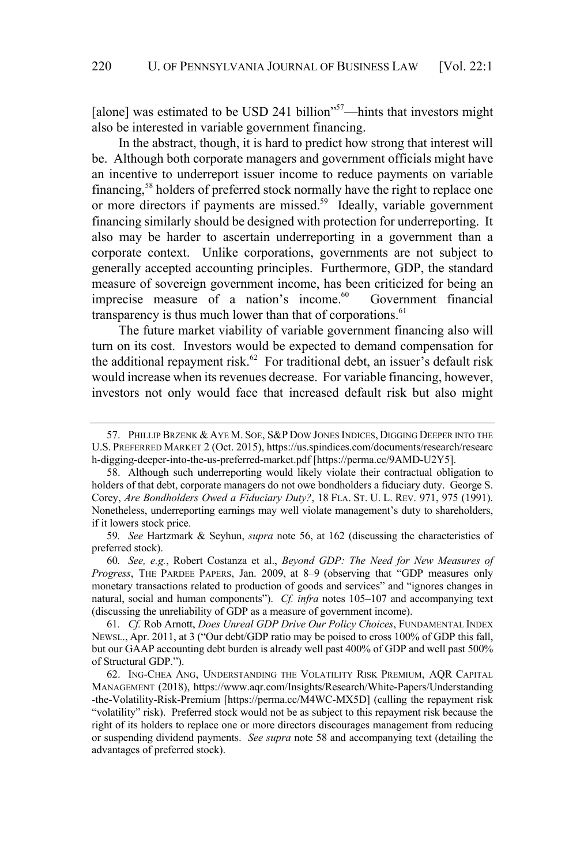[alone] was estimated to be USD 241 billion"<sup>57</sup>—hints that investors might also be interested in variable government financing.

In the abstract, though, it is hard to predict how strong that interest will be. Although both corporate managers and government officials might have an incentive to underreport issuer income to reduce payments on variable financing,<sup>58</sup> holders of preferred stock normally have the right to replace one or more directors if payments are missed.<sup>59</sup> Ideally, variable government financing similarly should be designed with protection for underreporting. It also may be harder to ascertain underreporting in a government than a corporate context. Unlike corporations, governments are not subject to generally accepted accounting principles. Furthermore, GDP, the standard measure of sovereign government income, has been criticized for being an imprecise measure of a nation's income.<sup>60</sup> Government financial transparency is thus much lower than that of corporations.<sup>61</sup>

The future market viability of variable government financing also will turn on its cost. Investors would be expected to demand compensation for the additional repayment risk.<sup>62</sup> For traditional debt, an issuer's default risk would increase when its revenues decrease. For variable financing, however, investors not only would face that increased default risk but also might

<sup>57.</sup> PHILLIP BRZENK & AYE M. SOE, S&P DOW JONES INDICES, DIGGING DEEPER INTO THE U.S. PREFERRED MARKET 2 (Oct. 2015), https://us.spindices.com/documents/research/researc h-digging-deeper-into-the-us-preferred-market.pdf [https://perma.cc/9AMD-U2Y5].

<sup>58.</sup> Although such underreporting would likely violate their contractual obligation to holders of that debt, corporate managers do not owe bondholders a fiduciary duty. George S. Corey, *Are Bondholders Owed a Fiduciary Duty?*, 18 FLA. ST. U. L. REV. 971, 975 (1991). Nonetheless, underreporting earnings may well violate management's duty to shareholders, if it lowers stock price.

<sup>59</sup>*. See* Hartzmark & Seyhun, *supra* note 56, at 162 (discussing the characteristics of preferred stock).

<sup>60</sup>*. See, e.g.*, Robert Costanza et al., *Beyond GDP: The Need for New Measures of Progress*, THE PARDEE PAPERS, Jan. 2009, at 8–9 (observing that "GDP measures only monetary transactions related to production of goods and services" and "ignores changes in natural, social and human components"). *Cf. infra* notes 105–107 and accompanying text (discussing the unreliability of GDP as a measure of government income).

<sup>61</sup>*. Cf.* Rob Arnott, *Does Unreal GDP Drive Our Policy Choices*, FUNDAMENTAL INDEX NEWSL., Apr. 2011, at 3 ("Our debt/GDP ratio may be poised to cross 100% of GDP this fall, but our GAAP accounting debt burden is already well past 400% of GDP and well past 500% of Structural GDP.").

<sup>62.</sup> ING-CHEA ANG, UNDERSTANDING THE VOLATILITY RISK PREMIUM, AQR CAPITAL MANAGEMENT (2018), https://www.aqr.com/Insights/Research/White-Papers/Understanding -the-Volatility-Risk-Premium [https://perma.cc/M4WC-MX5D] (calling the repayment risk "volatility" risk). Preferred stock would not be as subject to this repayment risk because the right of its holders to replace one or more directors discourages management from reducing or suspending dividend payments. *See supra* note 58 and accompanying text (detailing the advantages of preferred stock).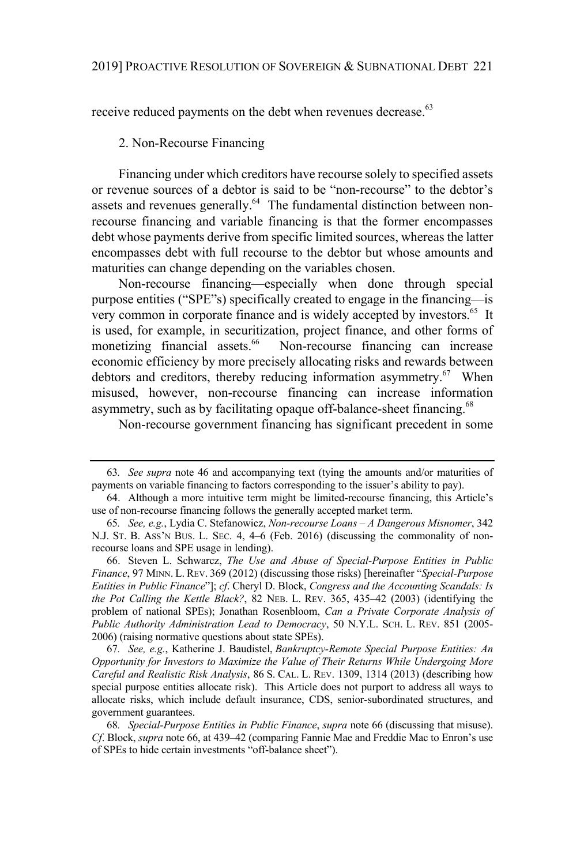receive reduced payments on the debt when revenues decrease.<sup>63</sup>

#### 2. Non-Recourse Financing

Financing under which creditors have recourse solely to specified assets or revenue sources of a debtor is said to be "non-recourse" to the debtor's assets and revenues generally.<sup>64</sup> The fundamental distinction between nonrecourse financing and variable financing is that the former encompasses debt whose payments derive from specific limited sources, whereas the latter encompasses debt with full recourse to the debtor but whose amounts and maturities can change depending on the variables chosen.

Non-recourse financing—especially when done through special purpose entities ("SPE"s) specifically created to engage in the financing—is very common in corporate finance and is widely accepted by investors.<sup>65</sup> It is used, for example, in securitization, project finance, and other forms of monetizing financial assets.<sup>66</sup> Non-recourse financing can increase Non-recourse financing can increase economic efficiency by more precisely allocating risks and rewards between debtors and creditors, thereby reducing information asymmetry.<sup>67</sup> When misused, however, non-recourse financing can increase information asymmetry, such as by facilitating opaque off-balance-sheet financing.<sup>68</sup>

Non-recourse government financing has significant precedent in some

66. Steven L. Schwarcz, *The Use and Abuse of Special-Purpose Entities in Public Finance*, 97 MINN. L. REV. 369 (2012) (discussing those risks) [hereinafter "*Special-Purpose Entities in Public Finance*"]; *cf*. Cheryl D. Block, *Congress and the Accounting Scandals: Is the Pot Calling the Kettle Black?*, 82 NEB. L. REV. 365, 435–42 (2003) (identifying the problem of national SPEs); Jonathan Rosenbloom, *Can a Private Corporate Analysis of Public Authority Administration Lead to Democracy*, 50 N.Y.L. SCH. L. REV. 851 (2005- 2006) (raising normative questions about state SPEs).

67*. See, e.g.*, Katherine J. Baudistel, *Bankruptcy-Remote Special Purpose Entities: An Opportunity for Investors to Maximize the Value of Their Returns While Undergoing More Careful and Realistic Risk Analysis*, 86 S. CAL. L. REV. 1309, 1314 (2013) (describing how special purpose entities allocate risk). This Article does not purport to address all ways to allocate risks, which include default insurance, CDS, senior-subordinated structures, and government guarantees.

68*. Special-Purpose Entities in Public Finance*, *supra* note 66 (discussing that misuse). *Cf*. Block, *supra* note 66, at 439–42 (comparing Fannie Mae and Freddie Mac to Enron's use of SPEs to hide certain investments "off-balance sheet").

<sup>63</sup>*. See supra* note 46 and accompanying text (tying the amounts and/or maturities of payments on variable financing to factors corresponding to the issuer's ability to pay).

<sup>64.</sup> Although a more intuitive term might be limited-recourse financing, this Article's use of non-recourse financing follows the generally accepted market term.

<sup>65</sup>*. See, e.g.*, Lydia C. Stefanowicz, *Non-recourse Loans – A Dangerous Misnomer*, 342 N.J. ST. B. ASS'N BUS. L. SEC. 4, 4–6 (Feb. 2016) (discussing the commonality of nonrecourse loans and SPE usage in lending).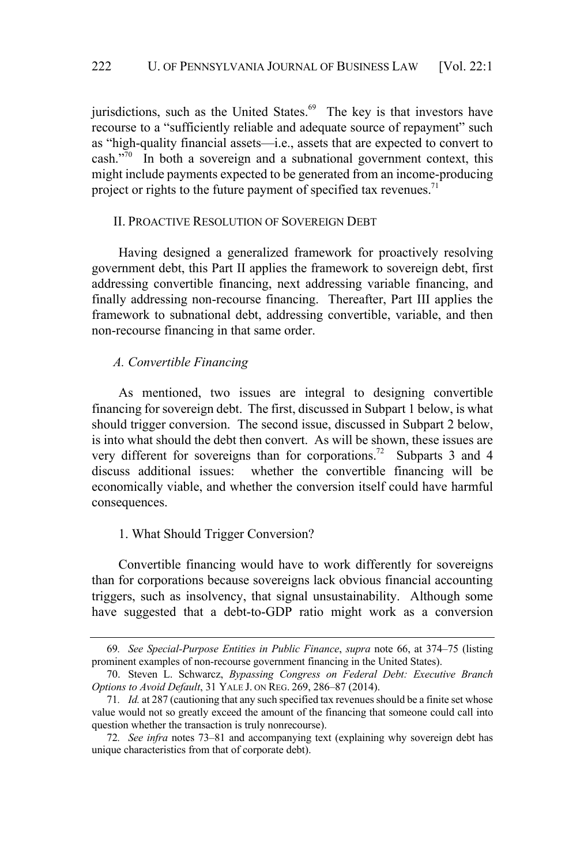jurisdictions, such as the United States. $69$  The key is that investors have recourse to a "sufficiently reliable and adequate source of repayment" such as "high-quality financial assets—i.e., assets that are expected to convert to cash. $\sqrt[3]{0}$  In both a sovereign and a subnational government context, this might include payments expected to be generated from an income-producing project or rights to the future payment of specified tax revenues. $71$ 

## II. PROACTIVE RESOLUTION OF SOVEREIGN DEBT

Having designed a generalized framework for proactively resolving government debt, this Part II applies the framework to sovereign debt, first addressing convertible financing, next addressing variable financing, and finally addressing non-recourse financing. Thereafter, Part III applies the framework to subnational debt, addressing convertible, variable, and then non-recourse financing in that same order.

## *A. Convertible Financing*

As mentioned, two issues are integral to designing convertible financing for sovereign debt. The first, discussed in Subpart 1 below, is what should trigger conversion. The second issue, discussed in Subpart 2 below, is into what should the debt then convert. As will be shown, these issues are very different for sovereigns than for corporations.<sup>72</sup> Subparts 3 and 4 discuss additional issues: whether the convertible financing will be economically viable, and whether the conversion itself could have harmful consequences.

# 1. What Should Trigger Conversion?

Convertible financing would have to work differently for sovereigns than for corporations because sovereigns lack obvious financial accounting triggers, such as insolvency, that signal unsustainability. Although some have suggested that a debt-to-GDP ratio might work as a conversion

<sup>69</sup>*. See Special-Purpose Entities in Public Finance*, *supra* note 66, at 374–75 (listing prominent examples of non-recourse government financing in the United States).

<sup>70.</sup> Steven L. Schwarcz, *Bypassing Congress on Federal Debt: Executive Branch Options to Avoid Default*, 31 YALE J. ON REG. 269, 286–87 (2014).

<sup>71</sup>*. Id.* at 287 (cautioning that any such specified tax revenuesshould be a finite set whose value would not so greatly exceed the amount of the financing that someone could call into question whether the transaction is truly nonrecourse).

<sup>72</sup>*. See infra* notes 73–81 and accompanying text (explaining why sovereign debt has unique characteristics from that of corporate debt).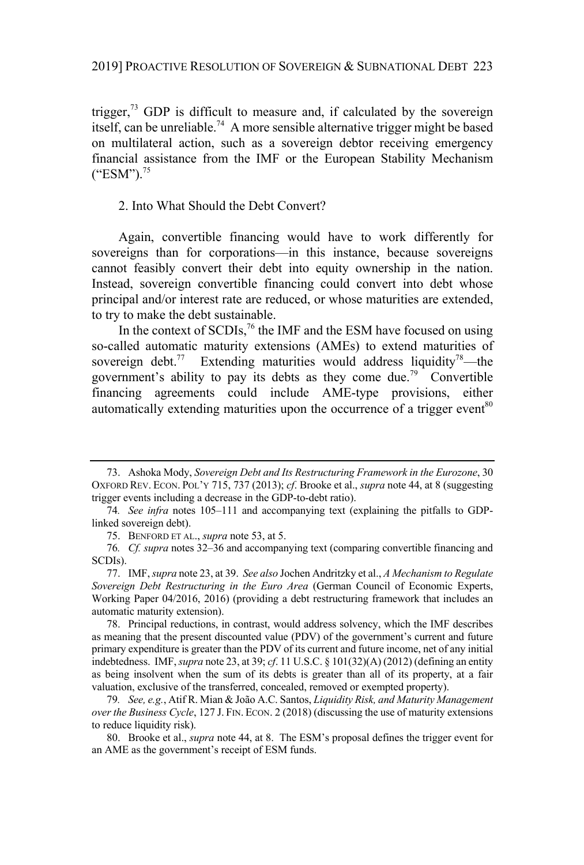trigger, $73$  GDP is difficult to measure and, if calculated by the sovereign itself, can be unreliable.<sup>74</sup> A more sensible alternative trigger might be based on multilateral action, such as a sovereign debtor receiving emergency financial assistance from the IMF or the European Stability Mechanism  $("ESM")$ .<sup>75</sup>

2. Into What Should the Debt Convert?

Again, convertible financing would have to work differently for sovereigns than for corporations—in this instance, because sovereigns cannot feasibly convert their debt into equity ownership in the nation. Instead, sovereign convertible financing could convert into debt whose principal and/or interest rate are reduced, or whose maturities are extended, to try to make the debt sustainable.

In the context of SCDIs,<sup>76</sup> the IMF and the ESM have focused on using so-called automatic maturity extensions (AMEs) to extend maturities of sovereign debt.<sup>77</sup> Extending maturities would address liquidity<sup>78</sup>—the government's ability to pay its debts as they come due.<sup>79</sup> Convertible financing agreements could include AME-type provisions, either automatically extending maturities upon the occurrence of a trigger event<sup>80</sup>

<sup>73.</sup> Ashoka Mody, *Sovereign Debt and Its Restructuring Framework in the Eurozone*, 30 OXFORD REV. ECON. POL'Y 715, 737 (2013); *cf*. Brooke et al., *supra* note 44, at 8 (suggesting trigger events including a decrease in the GDP-to-debt ratio).

<sup>74</sup>*. See infra* notes 105–111 and accompanying text (explaining the pitfalls to GDPlinked sovereign debt).

<sup>75.</sup> BENFORD ET AL., *supra* note 53, at 5.

<sup>76</sup>*. Cf. supra* notes 32–36 and accompanying text (comparing convertible financing and SCDIs).

<sup>77.</sup> IMF,*supra* note 23, at 39. *See also* Jochen Andritzky et al., *A Mechanism to Regulate Sovereign Debt Restructuring in the Euro Area* (German Council of Economic Experts, Working Paper 04/2016, 2016) (providing a debt restructuring framework that includes an automatic maturity extension).

<sup>78.</sup> Principal reductions, in contrast, would address solvency, which the IMF describes as meaning that the present discounted value (PDV) of the government's current and future primary expenditure is greater than the PDV of its current and future income, net of any initial indebtedness. IMF,*supra* note 23, at 39; *cf*. 11 U.S.C. § 101(32)(A) (2012) (defining an entity as being insolvent when the sum of its debts is greater than all of its property, at a fair valuation, exclusive of the transferred, concealed, removed or exempted property).

<sup>79</sup>*. See, e.g.*, Atif R. Mian & João A.C. Santos, *Liquidity Risk, and Maturity Management over the Business Cycle*, 127 J. FIN. ECON. 2 (2018) (discussing the use of maturity extensions to reduce liquidity risk).

<sup>80.</sup> Brooke et al., *supra* note 44, at 8. The ESM's proposal defines the trigger event for an AME as the government's receipt of ESM funds.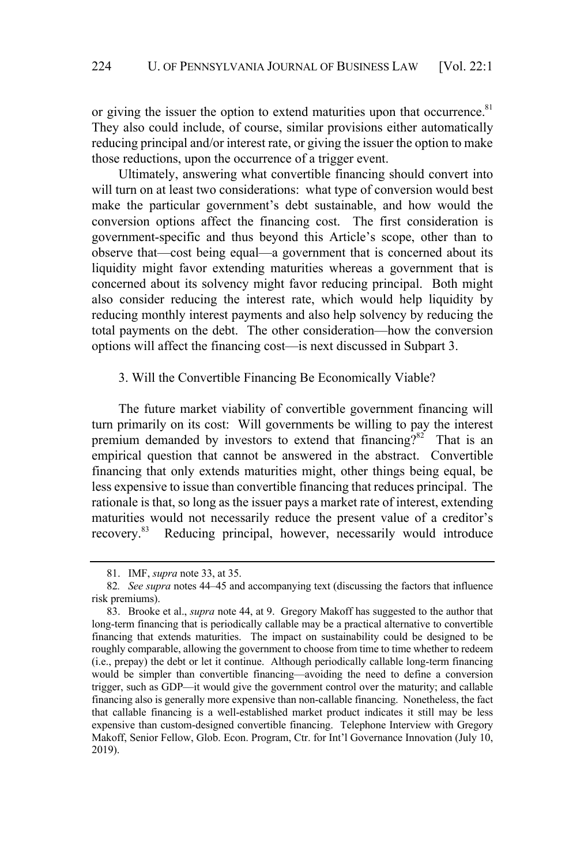or giving the issuer the option to extend maturities upon that occurrence.<sup>81</sup> They also could include, of course, similar provisions either automatically reducing principal and/or interest rate, or giving the issuer the option to make those reductions, upon the occurrence of a trigger event.

Ultimately, answering what convertible financing should convert into will turn on at least two considerations: what type of conversion would best make the particular government's debt sustainable, and how would the conversion options affect the financing cost. The first consideration is government-specific and thus beyond this Article's scope, other than to observe that—cost being equal—a government that is concerned about its liquidity might favor extending maturities whereas a government that is concerned about its solvency might favor reducing principal. Both might also consider reducing the interest rate, which would help liquidity by reducing monthly interest payments and also help solvency by reducing the total payments on the debt. The other consideration—how the conversion options will affect the financing cost—is next discussed in Subpart 3.

### 3. Will the Convertible Financing Be Economically Viable?

The future market viability of convertible government financing will turn primarily on its cost: Will governments be willing to pay the interest premium demanded by investors to extend that financing<sup>282</sup> That is an empirical question that cannot be answered in the abstract. Convertible financing that only extends maturities might, other things being equal, be less expensive to issue than convertible financing that reduces principal. The rationale is that, so long as the issuer pays a market rate of interest, extending maturities would not necessarily reduce the present value of a creditor's recovery. <sup>83</sup> Reducing principal, however, necessarily would introduce

<sup>81.</sup> IMF, *supra* note 33, at 35.

<sup>82</sup>*. See supra* notes 44–45 and accompanying text (discussing the factors that influence risk premiums).

<sup>83.</sup> Brooke et al., *supra* note 44, at 9. Gregory Makoff has suggested to the author that long-term financing that is periodically callable may be a practical alternative to convertible financing that extends maturities. The impact on sustainability could be designed to be roughly comparable, allowing the government to choose from time to time whether to redeem (i.e., prepay) the debt or let it continue. Although periodically callable long-term financing would be simpler than convertible financing—avoiding the need to define a conversion trigger, such as GDP—it would give the government control over the maturity; and callable financing also is generally more expensive than non-callable financing. Nonetheless, the fact that callable financing is a well-established market product indicates it still may be less expensive than custom-designed convertible financing. Telephone Interview with Gregory Makoff, Senior Fellow, Glob. Econ. Program, Ctr. for Int'l Governance Innovation (July 10, 2019).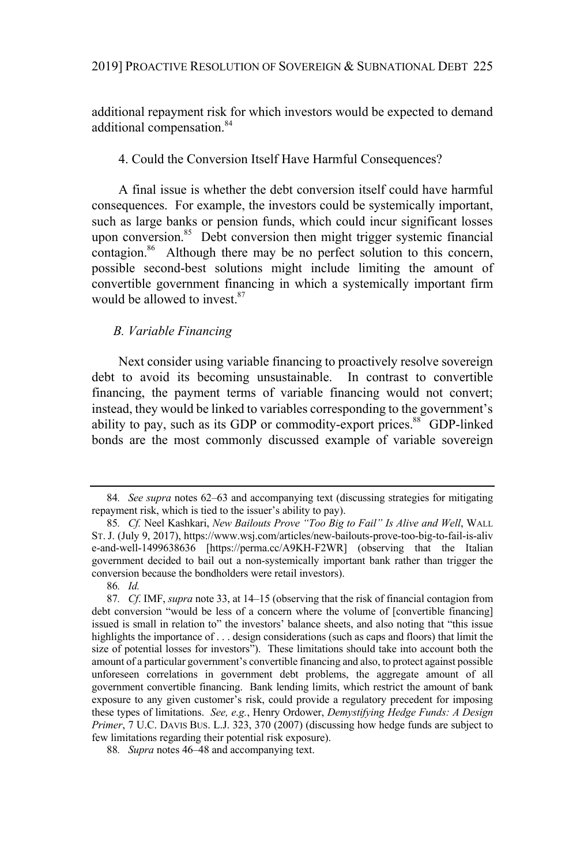additional repayment risk for which investors would be expected to demand additional compensation.<sup>84</sup>

## 4. Could the Conversion Itself Have Harmful Consequences?

A final issue is whether the debt conversion itself could have harmful consequences. For example, the investors could be systemically important, such as large banks or pension funds, which could incur significant losses upon conversion.<sup>85</sup> Debt conversion then might trigger systemic financial contagion.<sup>86</sup> Although there may be no perfect solution to this concern, possible second-best solutions might include limiting the amount of convertible government financing in which a systemically important firm would be allowed to invest. 87

## *B. Variable Financing*

Next consider using variable financing to proactively resolve sovereign debt to avoid its becoming unsustainable. In contrast to convertible financing, the payment terms of variable financing would not convert; instead, they would be linked to variables corresponding to the government's ability to pay, such as its GDP or commodity-export prices.<sup>88</sup> GDP-linked bonds are the most commonly discussed example of variable sovereign

<sup>84</sup>*. See supra* notes 62–63 and accompanying text (discussing strategies for mitigating repayment risk, which is tied to the issuer's ability to pay).

<sup>85</sup>*. Cf.* Neel Kashkari, *New Bailouts Prove "Too Big to Fail" Is Alive and Well*, WALL ST. J. (July 9, 2017), https://www.wsj.com/articles/new-bailouts-prove-too-big-to-fail-is-aliv e-and-well-1499638636 [https://perma.cc/A9KH-F2WR] (observing that the Italian government decided to bail out a non-systemically important bank rather than trigger the conversion because the bondholders were retail investors).

<sup>86</sup>*. Id.*

<sup>87</sup>*. Cf*. IMF, *supra* note 33, at 14–15 (observing that the risk of financial contagion from debt conversion "would be less of a concern where the volume of [convertible financing] issued is small in relation to" the investors' balance sheets, and also noting that "this issue highlights the importance of . . . design considerations (such as caps and floors) that limit the size of potential losses for investors"). These limitations should take into account both the amount of a particular government's convertible financing and also, to protect against possible unforeseen correlations in government debt problems, the aggregate amount of all government convertible financing. Bank lending limits, which restrict the amount of bank exposure to any given customer's risk, could provide a regulatory precedent for imposing these types of limitations. *See, e.g.*, Henry Ordower, *Demystifying Hedge Funds: A Design Primer*, 7 U.C. DAVIS BUS. L.J. 323, 370 (2007) (discussing how hedge funds are subject to few limitations regarding their potential risk exposure).

<sup>88</sup>*. Supra* notes 46–48 and accompanying text.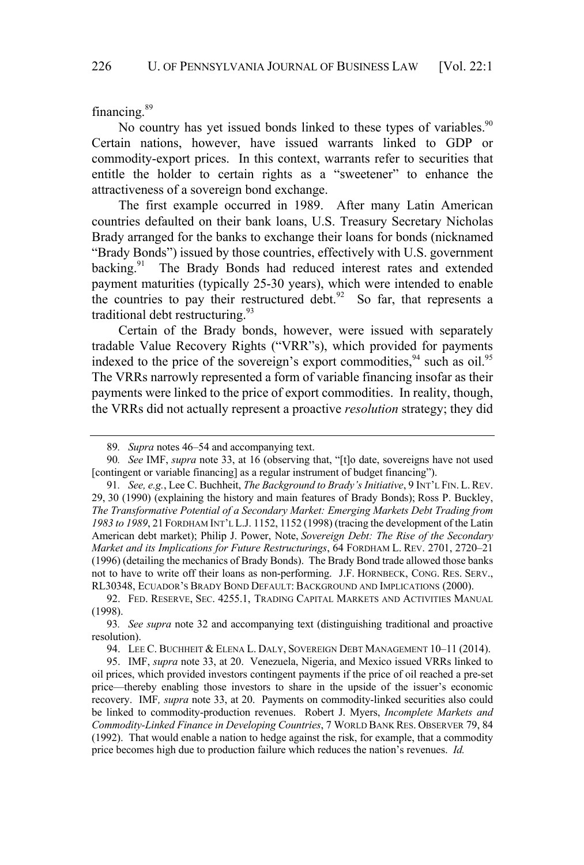financing.<sup>89</sup>

No country has yet issued bonds linked to these types of variables.<sup>90</sup> Certain nations, however, have issued warrants linked to GDP or commodity-export prices. In this context, warrants refer to securities that entitle the holder to certain rights as a "sweetener" to enhance the attractiveness of a sovereign bond exchange.

The first example occurred in 1989. After many Latin American countries defaulted on their bank loans, U.S. Treasury Secretary Nicholas Brady arranged for the banks to exchange their loans for bonds (nicknamed "Brady Bonds") issued by those countries, effectively with U.S. government backing.<sup>91</sup> The Brady Bonds had reduced interest rates and extended payment maturities (typically 25-30 years), which were intended to enable the countries to pay their restructured debt. $92$  So far, that represents a traditional debt restructuring.<sup>93</sup>

Certain of the Brady bonds, however, were issued with separately tradable Value Recovery Rights ("VRR"s), which provided for payments indexed to the price of the sovereign's export commodities,  $94$  such as oil.<sup>95</sup> The VRRs narrowly represented a form of variable financing insofar as their payments were linked to the price of export commodities. In reality, though, the VRRs did not actually represent a proactive *resolution* strategy; they did

<sup>89</sup>*. Supra* notes 46–54 and accompanying text.

<sup>90</sup>*. See* IMF, *supra* note 33, at 16 (observing that, "[t]o date, sovereigns have not used [contingent or variable financing] as a regular instrument of budget financing").

<sup>91</sup>*. See, e.g.*, Lee C. Buchheit, *The Background to Brady's Initiative*, 9 INT'L FIN. L.REV. 29, 30 (1990) (explaining the history and main features of Brady Bonds); Ross P. Buckley, *The Transformative Potential of a Secondary Market: Emerging Markets Debt Trading from 1983 to 1989*, 21 FORDHAM INT'L L.J. 1152, 1152 (1998) (tracing the development of the Latin American debt market); Philip J. Power, Note, *Sovereign Debt: The Rise of the Secondary Market and its Implications for Future Restructurings*, 64 FORDHAM L. REV. 2701, 2720–21 (1996) (detailing the mechanics of Brady Bonds). The Brady Bond trade allowed those banks not to have to write off their loans as non-performing. J.F. HORNBECK, CONG. RES. SERV., RL30348, ECUADOR'S BRADY BOND DEFAULT: BACKGROUND AND IMPLICATIONS (2000).

<sup>92.</sup> FED. RESERVE, SEC. 4255.1, TRADING CAPITAL MARKETS AND ACTIVITIES MANUAL (1998).

<sup>93</sup>*. See supra* note 32 and accompanying text (distinguishing traditional and proactive resolution).

<sup>94.</sup> LEE C. BUCHHEIT & ELENA L. DALY, SOVEREIGN DEBT MANAGEMENT 10-11 (2014).

<sup>95.</sup> IMF, *supra* note 33, at 20. Venezuela, Nigeria, and Mexico issued VRRs linked to oil prices, which provided investors contingent payments if the price of oil reached a pre-set price—thereby enabling those investors to share in the upside of the issuer's economic recovery. IMF*, supra* note 33, at 20. Payments on commodity-linked securities also could be linked to commodity-production revenues. Robert J. Myers, *Incomplete Markets and Commodity-Linked Finance in Developing Countries*, 7 WORLD BANK RES. OBSERVER 79, 84 (1992). That would enable a nation to hedge against the risk, for example, that a commodity price becomes high due to production failure which reduces the nation's revenues. *Id.*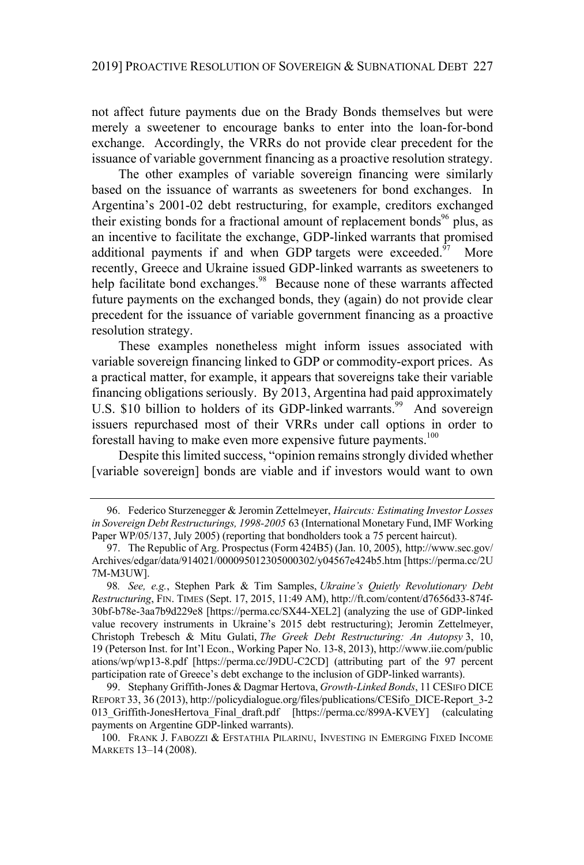not affect future payments due on the Brady Bonds themselves but were merely a sweetener to encourage banks to enter into the loan-for-bond exchange. Accordingly, the VRRs do not provide clear precedent for the issuance of variable government financing as a proactive resolution strategy.

The other examples of variable sovereign financing were similarly based on the issuance of warrants as sweeteners for bond exchanges. In Argentina's 2001-02 debt restructuring, for example, creditors exchanged their existing bonds for a fractional amount of replacement bonds<sup>96</sup> plus, as an incentive to facilitate the exchange, GDP-linked warrants that promised additional payments if and when GDP targets were exceeded.<sup>97</sup> More recently, Greece and Ukraine issued GDP-linked warrants as sweeteners to help facilitate bond exchanges.<sup>98</sup> Because none of these warrants affected future payments on the exchanged bonds, they (again) do not provide clear precedent for the issuance of variable government financing as a proactive resolution strategy.

These examples nonetheless might inform issues associated with variable sovereign financing linked to GDP or commodity-export prices. As a practical matter, for example, it appears that sovereigns take their variable financing obligations seriously. By 2013, Argentina had paid approximately U.S. \$10 billion to holders of its GDP-linked warrants.<sup>99</sup> And sovereign issuers repurchased most of their VRRs under call options in order to forestall having to make even more expensive future payments.<sup>100</sup>

Despite this limited success, "opinion remains strongly divided whether [variable sovereign] bonds are viable and if investors would want to own

<sup>96.</sup> Federico Sturzenegger & Jeromin Zettelmeyer, *Haircuts: Estimating Investor Losses in Sovereign Debt Restructurings, 1998-2005* 63 (International Monetary Fund, IMF Working Paper WP/05/137, July 2005) (reporting that bondholders took a 75 percent haircut).

<sup>97.</sup> The Republic of Arg. Prospectus (Form 424B5) (Jan. 10, 2005), http://www.sec.gov/ Archives/edgar/data/914021/000095012305000302/y04567e424b5.htm [https://perma.cc/2U 7M-M3UW].

<sup>98</sup>*. See, e.g.*, Stephen Park & Tim Samples, *Ukraine's Quietly Revolutionary Debt Restructuring*, FIN. TIMES (Sept. 17, 2015, 11:49 AM), http://ft.com/content/d7656d33-874f-30bf-b78e-3aa7b9d229e8 [https://perma.cc/SX44-XEL2] (analyzing the use of GDP-linked value recovery instruments in Ukraine's 2015 debt restructuring); Jeromin Zettelmeyer, Christoph Trebesch & Mitu Gulati, *The Greek Debt Restructuring: An Autopsy* 3, 10, 19 (Peterson Inst. for Int'l Econ., Working Paper No. 13-8, 2013), http://www.iie.com/public ations/wp/wp13-8.pdf [https://perma.cc/J9DU-C2CD] (attributing part of the 97 percent participation rate of Greece's debt exchange to the inclusion of GDP-linked warrants).

<sup>99.</sup> Stephany Griffith-Jones & Dagmar Hertova, *Growth-Linked Bonds*, 11 CESIFO DICE REPORT 33, 36 (2013), http://policydialogue.org/files/publications/CESifo\_DICE-Report\_3-2 013\_Griffith-JonesHertova\_Final\_draft.pdf [https://perma.cc/899A-KVEY] (calculating payments on Argentine GDP-linked warrants).

<sup>100.</sup> FRANK J. FABOZZI & EFSTATHIA PILARINU, INVESTING IN EMERGING FIXED INCOME MARKETS 13–14 (2008).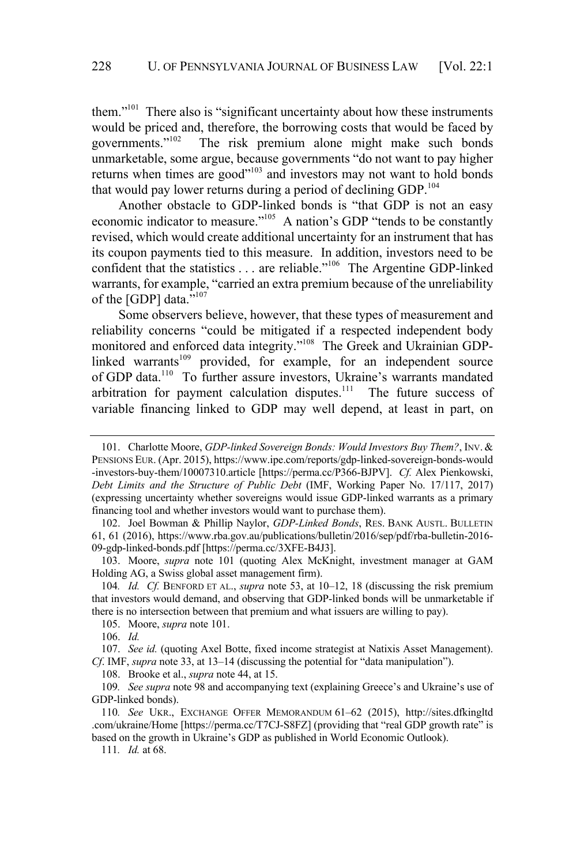them."<sup>101</sup> There also is "significant uncertainty about how these instruments would be priced and, therefore, the borrowing costs that would be faced by governments." $102$  The risk premium alone might make such bonds The risk premium alone might make such bonds unmarketable, some argue, because governments "do not want to pay higher returns when times are good"<sup>103</sup> and investors may not want to hold bonds that would pay lower returns during a period of declining GDP.<sup>104</sup>

Another obstacle to GDP-linked bonds is "that GDP is not an easy economic indicator to measure."<sup>105</sup> A nation's GDP "tends to be constantly revised, which would create additional uncertainty for an instrument that has its coupon payments tied to this measure. In addition, investors need to be confident that the statistics . . . are reliable."<sup>106</sup> The Argentine GDP-linked warrants, for example, "carried an extra premium because of the unreliability of the [GDP] data. $^{7,107}$ 

Some observers believe, however, that these types of measurement and reliability concerns "could be mitigated if a respected independent body monitored and enforced data integrity."<sup>108</sup> The Greek and Ukrainian GDPlinked warrants<sup>109</sup> provided, for example, for an independent source of GDP data.<sup>110</sup> To further assure investors, Ukraine's warrants mandated arbitration for payment calculation disputes. $111$  The future success of variable financing linked to GDP may well depend, at least in part, on

<sup>101.</sup> Charlotte Moore, *GDP-linked Sovereign Bonds: Would Investors Buy Them?*, INV. & PENSIONS EUR. (Apr. 2015), https://www.ipe.com/reports/gdp-linked-sovereign-bonds-would -investors-buy-them/10007310.article [https://perma.cc/P366-BJPV]. *Cf.* Alex Pienkowski, *Debt Limits and the Structure of Public Debt* (IMF, Working Paper No. 17/117, 2017) (expressing uncertainty whether sovereigns would issue GDP-linked warrants as a primary financing tool and whether investors would want to purchase them).

<sup>102.</sup> Joel Bowman & Phillip Naylor, *GDP-Linked Bonds*, RES. BANK AUSTL. BULLETIN 61, 61 (2016), https://www.rba.gov.au/publications/bulletin/2016/sep/pdf/rba-bulletin-2016- 09-gdp-linked-bonds.pdf [https://perma.cc/3XFE-B4J3].

<sup>103.</sup> Moore, *supra* note 101 (quoting Alex McKnight, investment manager at GAM Holding AG, a Swiss global asset management firm).

<sup>104</sup>*. Id. Cf.* BENFORD ET AL., *supra* note 53, at 10–12, 18 (discussing the risk premium that investors would demand, and observing that GDP-linked bonds will be unmarketable if there is no intersection between that premium and what issuers are willing to pay).

<sup>105.</sup> Moore, *supra* note 101.

<sup>106.</sup> *Id.*

<sup>107.</sup> *See id.* (quoting Axel Botte, fixed income strategist at Natixis Asset Management). *Cf*. IMF, *supra* note 33, at 13–14 (discussing the potential for "data manipulation").

<sup>108.</sup> Brooke et al., *supra* note 44, at 15.

<sup>109</sup>*. See supra* note 98 and accompanying text (explaining Greece's and Ukraine's use of GDP-linked bonds).

<sup>110</sup>*. See* UKR., EXCHANGE OFFER MEMORANDUM 61–62 (2015), http://sites.dfkingltd .com/ukraine/Home [https://perma.cc/T7CJ-S8FZ] (providing that "real GDP growth rate" is based on the growth in Ukraine's GDP as published in World Economic Outlook).

<sup>111</sup>*. Id.* at 68.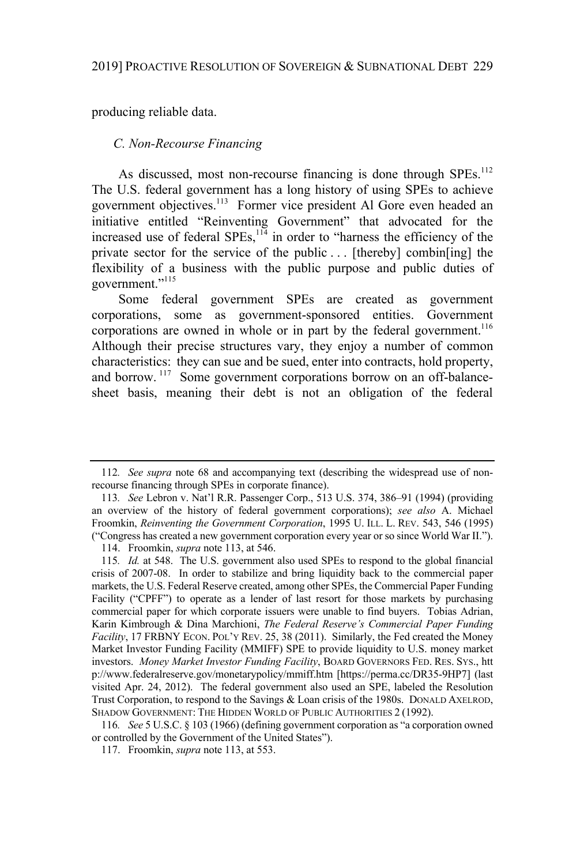producing reliable data.

## *C. Non-Recourse Financing*

As discussed, most non-recourse financing is done through SPEs.<sup>112</sup> The U.S. federal government has a long history of using SPEs to achieve government objectives.<sup>113</sup> Former vice president Al Gore even headed an initiative entitled "Reinventing Government" that advocated for the increased use of federal SPEs, <sup>114</sup> in order to "harness the efficiency of the private sector for the service of the public . . . [thereby] combin[ing] the flexibility of a business with the public purpose and public duties of government."<sup>115</sup>

Some federal government SPEs are created as government corporations, some as government-sponsored entities. Government corporations are owned in whole or in part by the federal government.<sup>116</sup> Although their precise structures vary, they enjoy a number of common characteristics: they can sue and be sued, enter into contracts, hold property, and borrow.<sup>117</sup> Some government corporations borrow on an off-balancesheet basis, meaning their debt is not an obligation of the federal

<sup>112</sup>*. See supra* note 68 and accompanying text (describing the widespread use of nonrecourse financing through SPEs in corporate finance).

<sup>113</sup>*. See* Lebron v. Nat'l R.R. Passenger Corp., 513 U.S. 374, 386–91 (1994) (providing an overview of the history of federal government corporations); *see also* A. Michael Froomkin, *Reinventing the Government Corporation*, 1995 U. ILL. L. REV. 543, 546 (1995) ("Congress has created a new government corporation every year or so since World War II."). 114. Froomkin, *supra* note 113, at 546.

<sup>115</sup>*. Id.* at 548. The U.S. government also used SPEs to respond to the global financial crisis of 2007-08. In order to stabilize and bring liquidity back to the commercial paper markets, the U.S. Federal Reserve created, among other SPEs, the Commercial Paper Funding Facility ("CPFF") to operate as a lender of last resort for those markets by purchasing commercial paper for which corporate issuers were unable to find buyers. Tobias Adrian, Karin Kimbrough & Dina Marchioni, *The Federal Reserve's Commercial Paper Funding Facility*, 17 FRBNY ECON. POL'Y REV. 25, 38 (2011). Similarly, the Fed created the Money Market Investor Funding Facility (MMIFF) SPE to provide liquidity to U.S. money market investors. *Money Market Investor Funding Facility*, BOARD GOVERNORS FED. RES. SYS., htt p://www.federalreserve.gov/monetarypolicy/mmiff.htm [https://perma.cc/DR35-9HP7] (last visited Apr. 24, 2012). The federal government also used an SPE, labeled the Resolution Trust Corporation, to respond to the Savings & Loan crisis of the 1980s. DONALD AXELROD, SHADOW GOVERNMENT: THE HIDDEN WORLD OF PUBLIC AUTHORITIES 2 (1992).

<sup>116</sup>*. See* 5 U.S.C. § 103 (1966) (defining government corporation as "a corporation owned or controlled by the Government of the United States").

<sup>117.</sup> Froomkin, *supra* note 113, at 553.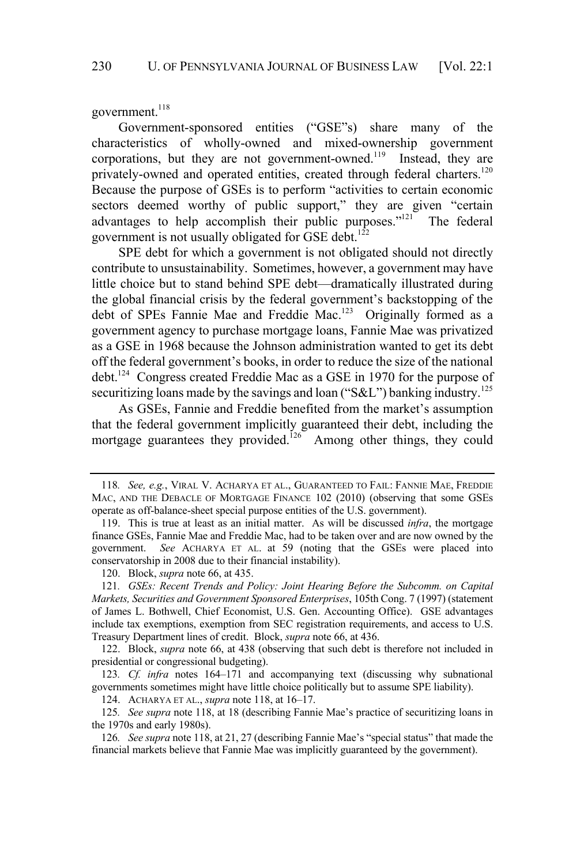government.<sup>118</sup>

Government-sponsored entities ("GSE"s) share many of the characteristics of wholly-owned and mixed-ownership government corporations, but they are not government-owned.<sup>119</sup> Instead, they are privately-owned and operated entities, created through federal charters.<sup>120</sup> Because the purpose of GSEs is to perform "activities to certain economic sectors deemed worthy of public support," they are given "certain advantages to help accomplish their public purposes." $121^{\circ}$  The federal government is not usually obligated for GSE debt.<sup>122</sup>

SPE debt for which a government is not obligated should not directly contribute to unsustainability. Sometimes, however, a government may have little choice but to stand behind SPE debt—dramatically illustrated during the global financial crisis by the federal government's backstopping of the debt of SPEs Fannie Mae and Freddie Mac.<sup>123</sup> Originally formed as a government agency to purchase mortgage loans, Fannie Mae was privatized as a GSE in 1968 because the Johnson administration wanted to get its debt off the federal government's books, in order to reduce the size of the national debt.<sup>124</sup> Congress created Freddie Mac as a GSE in 1970 for the purpose of securitizing loans made by the savings and loan ("S&L") banking industry.<sup>125</sup>

As GSEs, Fannie and Freddie benefited from the market's assumption that the federal government implicitly guaranteed their debt, including the mortgage guarantees they provided.<sup>126</sup> Among other things, they could

124. ACHARYA ET AL., *supra* note 118, at 16–17.

125*. See supra* note 118, at 18 (describing Fannie Mae's practice of securitizing loans in the 1970s and early 1980s).

<sup>118</sup>*. See, e.g.*, VIRAL V. ACHARYA ET AL., GUARANTEED TO FAIL: FANNIE MAE, FREDDIE MAC, AND THE DEBACLE OF MORTGAGE FINANCE 102 (2010) (observing that some GSEs operate as off-balance-sheet special purpose entities of the U.S. government).

<sup>119.</sup> This is true at least as an initial matter. As will be discussed *infra*, the mortgage finance GSEs, Fannie Mae and Freddie Mac, had to be taken over and are now owned by the government. *See* ACHARYA ET AL. at 59 (noting that the GSEs were placed into conservatorship in 2008 due to their financial instability).

<sup>120.</sup> Block, *supra* note 66, at 435.

<sup>121</sup>*. GSEs: Recent Trends and Policy: Joint Hearing Before the Subcomm. on Capital Markets, Securities and Government Sponsored Enterprises*, 105th Cong. 7 (1997) (statement of James L. Bothwell, Chief Economist, U.S. Gen. Accounting Office). GSE advantages include tax exemptions, exemption from SEC registration requirements, and access to U.S. Treasury Department lines of credit. Block, *supra* note 66, at 436.

<sup>122.</sup> Block, *supra* note 66, at 438 (observing that such debt is therefore not included in presidential or congressional budgeting).

<sup>123</sup>*. Cf. infra* notes 164–171 and accompanying text (discussing why subnational governments sometimes might have little choice politically but to assume SPE liability).

<sup>126</sup>*. See supra* note 118, at 21, 27 (describing Fannie Mae's "special status" that made the financial markets believe that Fannie Mae was implicitly guaranteed by the government).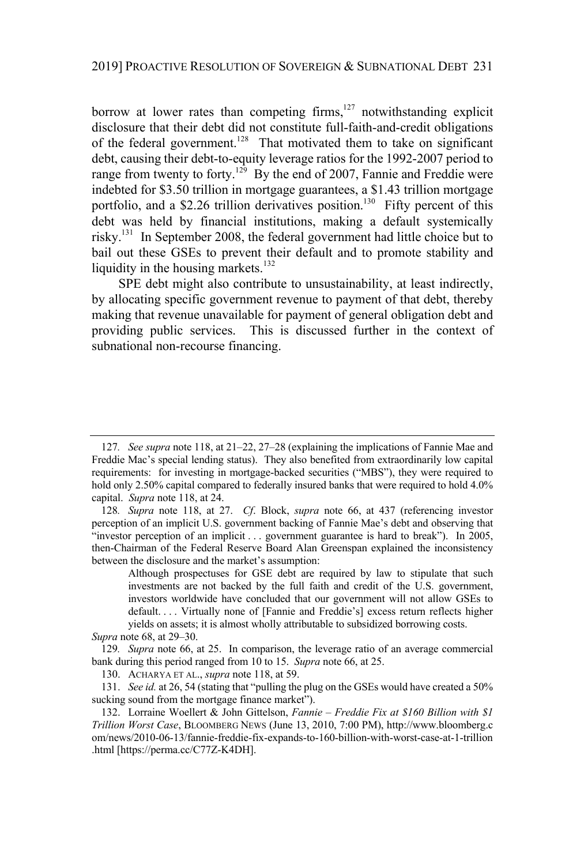borrow at lower rates than competing firms, $127$  notwithstanding explicit disclosure that their debt did not constitute full-faith-and-credit obligations of the federal government.<sup>128</sup> That motivated them to take on significant debt, causing their debt-to-equity leverage ratios for the 1992-2007 period to range from twenty to forty.<sup>129</sup> By the end of 2007, Fannie and Freddie were indebted for \$3.50 trillion in mortgage guarantees, a \$1.43 trillion mortgage portfolio, and a \$2.26 trillion derivatives position.<sup>130</sup> Fifty percent of this debt was held by financial institutions, making a default systemically risky.<sup>131</sup> In September 2008, the federal government had little choice but to bail out these GSEs to prevent their default and to promote stability and liquidity in the housing markets. $132$ 

SPE debt might also contribute to unsustainability, at least indirectly, by allocating specific government revenue to payment of that debt, thereby making that revenue unavailable for payment of general obligation debt and providing public services. This is discussed further in the context of subnational non-recourse financing.

<sup>127</sup>*. See supra* note 118, at 21–22, 27–28 (explaining the implications of Fannie Mae and Freddie Mac's special lending status). They also benefited from extraordinarily low capital requirements: for investing in mortgage-backed securities ("MBS"), they were required to hold only 2.50% capital compared to federally insured banks that were required to hold 4.0% capital. *Supra* note 118, at 24.

<sup>128</sup>*. Supra* note 118, at 27. *Cf*. Block, *supra* note 66, at 437 (referencing investor perception of an implicit U.S. government backing of Fannie Mae's debt and observing that "investor perception of an implicit . . . government guarantee is hard to break"). In 2005, then-Chairman of the Federal Reserve Board Alan Greenspan explained the inconsistency between the disclosure and the market's assumption:

Although prospectuses for GSE debt are required by law to stipulate that such investments are not backed by the full faith and credit of the U.S. government, investors worldwide have concluded that our government will not allow GSEs to default. . . . Virtually none of [Fannie and Freddie's] excess return reflects higher yields on assets; it is almost wholly attributable to subsidized borrowing costs.

*Supra* note 68, at 29–30.

<sup>129</sup>*. Supra* note 66, at 25. In comparison, the leverage ratio of an average commercial bank during this period ranged from 10 to 15. *Supra* note 66, at 25.

<sup>130.</sup> ACHARYA ET AL., *supra* note 118, at 59.

<sup>131.</sup> *See id.* at 26, 54 (stating that "pulling the plug on the GSEs would have created a 50% sucking sound from the mortgage finance market").

<sup>132.</sup> Lorraine Woellert & John Gittelson, *Fannie – Freddie Fix at \$160 Billion with \$1 Trillion Worst Case*, BLOOMBERG NEWS (June 13, 2010, 7:00 PM), http://www.bloomberg.c om/news/2010-06-13/fannie-freddie-fix-expands-to-160-billion-with-worst-case-at-1-trillion .html [https://perma.cc/C77Z-K4DH].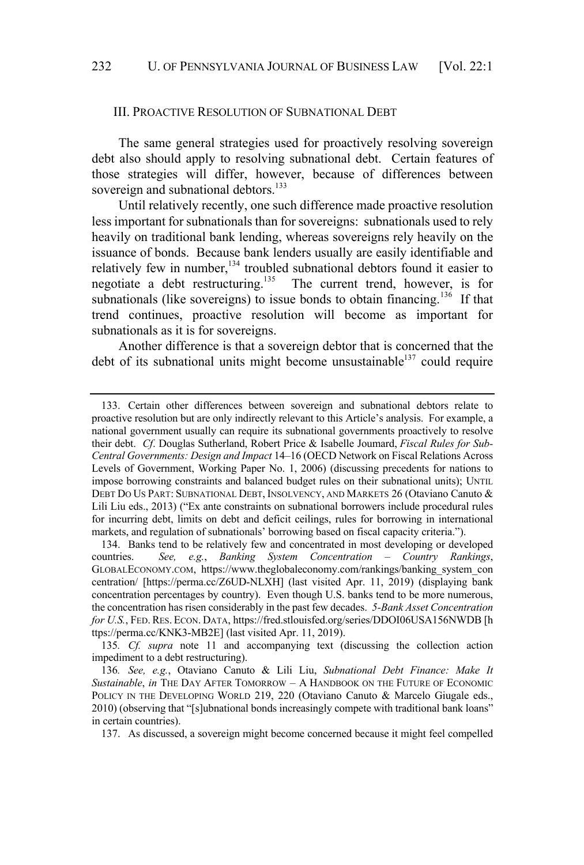#### III. PROACTIVE RESOLUTION OF SUBNATIONAL DEBT

The same general strategies used for proactively resolving sovereign debt also should apply to resolving subnational debt. Certain features of those strategies will differ, however, because of differences between sovereign and subnational debtors.<sup>133</sup>

Until relatively recently, one such difference made proactive resolution less important for subnationals than for sovereigns: subnationals used to rely heavily on traditional bank lending, whereas sovereigns rely heavily on the issuance of bonds. Because bank lenders usually are easily identifiable and relatively few in number,<sup>134</sup> troubled subnational debtors found it easier to negotiate a debt restructuring.<sup>135</sup> The current trend, however, is for subnationals (like sovereigns) to issue bonds to obtain financing.<sup>136</sup> If that trend continues, proactive resolution will become as important for subnationals as it is for sovereigns.

Another difference is that a sovereign debtor that is concerned that the debt of its subnational units might become unsustainable<sup>137</sup> could require

<sup>133.</sup> Certain other differences between sovereign and subnational debtors relate to proactive resolution but are only indirectly relevant to this Article's analysis. For example, a national government usually can require its subnational governments proactively to resolve their debt. *Cf*. Douglas Sutherland, Robert Price & Isabelle Joumard, *Fiscal Rules for Sub-Central Governments: Design and Impact* 14–16 (OECD Network on Fiscal Relations Across Levels of Government, Working Paper No. 1, 2006) (discussing precedents for nations to impose borrowing constraints and balanced budget rules on their subnational units); UNTIL DEBT DO US PART: SUBNATIONAL DEBT, INSOLVENCY, AND MARKETS 26 (Otaviano Canuto & Lili Liu eds., 2013) ("Ex ante constraints on subnational borrowers include procedural rules for incurring debt, limits on debt and deficit ceilings, rules for borrowing in international markets, and regulation of subnationals' borrowing based on fiscal capacity criteria.").

<sup>134.</sup> Banks tend to be relatively few and concentrated in most developing or developed countries. *See, e.g.*, *Banking System Concentration – Country Rankings*, GLOBALECONOMY.COM, https://www.theglobaleconomy.com/rankings/banking\_system\_con centration/ [https://perma.cc/Z6UD-NLXH] (last visited Apr. 11, 2019) (displaying bank concentration percentages by country). Even though U.S. banks tend to be more numerous, the concentration has risen considerably in the past few decades. *5-Bank Asset Concentration for U.S.*, FED. RES. ECON. DATA, https://fred.stlouisfed.org/series/DDOI06USA156NWDB [h ttps://perma.cc/KNK3-MB2E] (last visited Apr. 11, 2019).

<sup>135</sup>*. Cf. supra* note 11 and accompanying text (discussing the collection action impediment to a debt restructuring).

<sup>136</sup>*. See, e.g.*, Otaviano Canuto & Lili Liu, *Subnational Debt Finance: Make It Sustainable*, *in* THE DAY AFTER TOMORROW – A HANDBOOK ON THE FUTURE OF ECONOMIC POLICY IN THE DEVELOPING WORLD 219, 220 (Otaviano Canuto & Marcelo Giugale eds., 2010) (observing that "[s]ubnational bonds increasingly compete with traditional bank loans" in certain countries).

<sup>137.</sup> As discussed, a sovereign might become concerned because it might feel compelled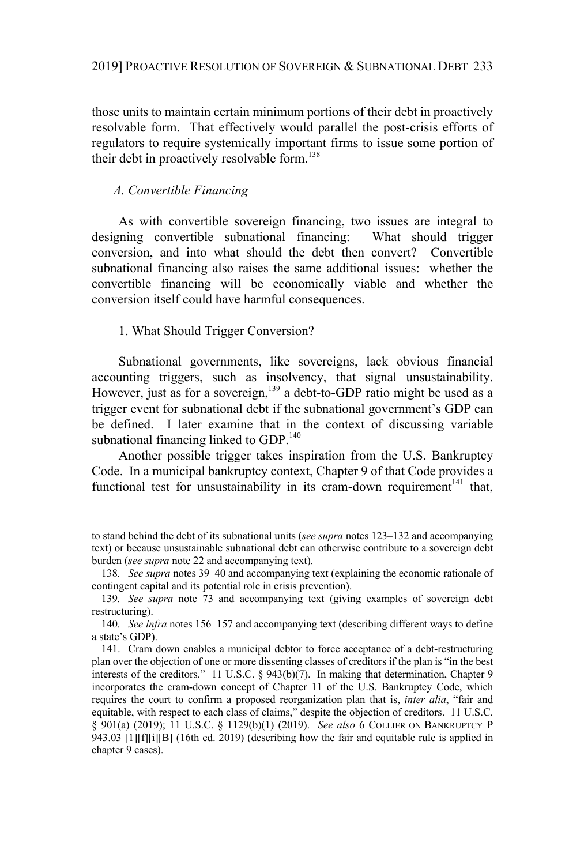those units to maintain certain minimum portions of their debt in proactively resolvable form. That effectively would parallel the post-crisis efforts of regulators to require systemically important firms to issue some portion of their debt in proactively resolvable form.<sup>138</sup>

# *A. Convertible Financing*

As with convertible sovereign financing, two issues are integral to designing convertible subnational financing: What should trigger conversion, and into what should the debt then convert? Convertible subnational financing also raises the same additional issues: whether the convertible financing will be economically viable and whether the conversion itself could have harmful consequences.

## 1. What Should Trigger Conversion?

Subnational governments, like sovereigns, lack obvious financial accounting triggers, such as insolvency, that signal unsustainability. However, just as for a sovereign,<sup>139</sup> a debt-to-GDP ratio might be used as a trigger event for subnational debt if the subnational government's GDP can be defined. I later examine that in the context of discussing variable subnational financing linked to GDP.<sup>140</sup>

Another possible trigger takes inspiration from the U.S. Bankruptcy Code. In a municipal bankruptcy context, Chapter 9 of that Code provides a functional test for unsustainability in its cram-down requirement $141$  that,

to stand behind the debt of its subnational units (*see supra* notes 123–132 and accompanying text) or because unsustainable subnational debt can otherwise contribute to a sovereign debt burden (*see supra* note 22 and accompanying text).

<sup>138</sup>*. See supra* notes 39–40 and accompanying text (explaining the economic rationale of contingent capital and its potential role in crisis prevention).

<sup>139</sup>*. See supra* note 73 and accompanying text (giving examples of sovereign debt restructuring).

<sup>140</sup>*. See infra* notes 156–157 and accompanying text (describing different ways to define a state's GDP).

<sup>141.</sup> Cram down enables a municipal debtor to force acceptance of a debt-restructuring plan over the objection of one or more dissenting classes of creditors if the plan is "in the best interests of the creditors." 11 U.S.C. § 943(b)(7). In making that determination, Chapter 9 incorporates the cram-down concept of Chapter 11 of the U.S. Bankruptcy Code, which requires the court to confirm a proposed reorganization plan that is, *inter alia*, "fair and equitable, with respect to each class of claims," despite the objection of creditors. 11 U.S.C. § 901(a) (2019); 11 U.S.C. § 1129(b)(1) (2019). *See also* 6 COLLIER ON BANKRUPTCY P 943.03 [1][f][i][B] (16th ed. 2019) (describing how the fair and equitable rule is applied in chapter 9 cases).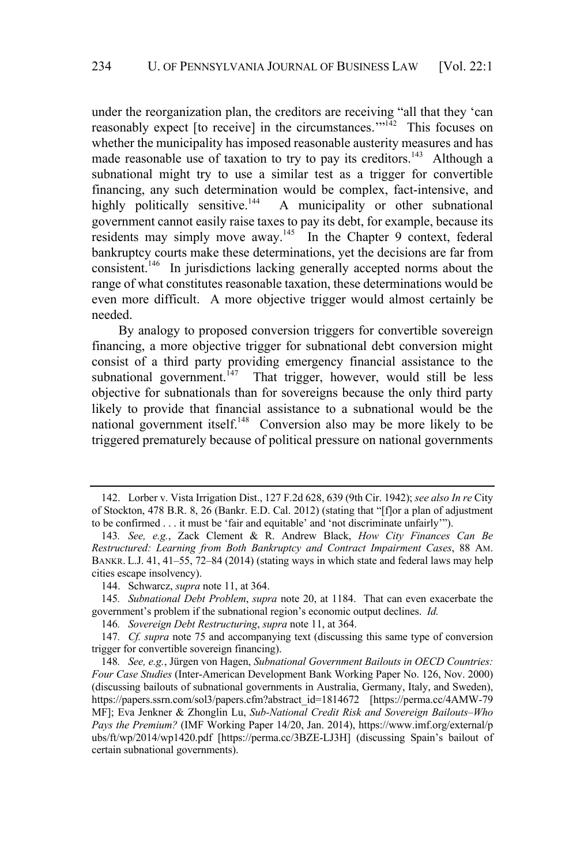under the reorganization plan, the creditors are receiving "all that they 'can reasonably expect [to receive] in the circumstances."<sup>142</sup> This focuses on whether the municipality has imposed reasonable austerity measures and has made reasonable use of taxation to try to pay its creditors.<sup>143</sup> Although a subnational might try to use a similar test as a trigger for convertible financing, any such determination would be complex, fact-intensive, and highly politically sensitive.<sup>144</sup> A municipality or other subnational A municipality or other subnational government cannot easily raise taxes to pay its debt, for example, because its residents may simply move away.<sup>145</sup> In the Chapter 9 context, federal bankruptcy courts make these determinations, yet the decisions are far from consistent.<sup>146</sup> In jurisdictions lacking generally accepted norms about the range of what constitutes reasonable taxation, these determinations would be even more difficult. A more objective trigger would almost certainly be needed.

By analogy to proposed conversion triggers for convertible sovereign financing, a more objective trigger for subnational debt conversion might consist of a third party providing emergency financial assistance to the subnational government.<sup>147</sup> That trigger, however, would still be less objective for subnationals than for sovereigns because the only third party likely to provide that financial assistance to a subnational would be the national government itself.<sup>148</sup> Conversion also may be more likely to be triggered prematurely because of political pressure on national governments

<sup>142.</sup> Lorber v. Vista Irrigation Dist., 127 F.2d 628, 639 (9th Cir. 1942); *see also In re* City of Stockton, 478 B.R. 8, 26 (Bankr. E.D. Cal. 2012) (stating that "[f]or a plan of adjustment to be confirmed . . . it must be 'fair and equitable' and 'not discriminate unfairly'").

<sup>143</sup>*. See, e.g.*, Zack Clement & R. Andrew Black, *How City Finances Can Be Restructured: Learning from Both Bankruptcy and Contract Impairment Cases*, 88 AM. BANKR. L.J. 41, 41–55, 72–84 (2014) (stating ways in which state and federal laws may help cities escape insolvency).

<sup>144.</sup> Schwarcz, *supra* note 11, at 364.

<sup>145</sup>*. Subnational Debt Problem*, *supra* note 20, at 1184. That can even exacerbate the government's problem if the subnational region's economic output declines. *Id.*

<sup>146</sup>*. Sovereign Debt Restructuring*, *supra* note 11, at 364.

<sup>147</sup>*. Cf. supra* note 75 and accompanying text (discussing this same type of conversion trigger for convertible sovereign financing).

<sup>148</sup>*. See, e.g.*, Jürgen von Hagen, *Subnational Government Bailouts in OECD Countries: Four Case Studies* (Inter-American Development Bank Working Paper No. 126, Nov. 2000) (discussing bailouts of subnational governments in Australia, Germany, Italy, and Sweden), https://papers.ssrn.com/sol3/papers.cfm?abstract\_id=1814672 [https://perma.cc/4AMW-79 MF]; Eva Jenkner & Zhonglin Lu, *Sub-National Credit Risk and Sovereign Bailouts–Who Pays the Premium?* (IMF Working Paper 14/20, Jan. 2014), https://www.imf.org/external/p ubs/ft/wp/2014/wp1420.pdf [https://perma.cc/3BZE-LJ3H] (discussing Spain's bailout of certain subnational governments).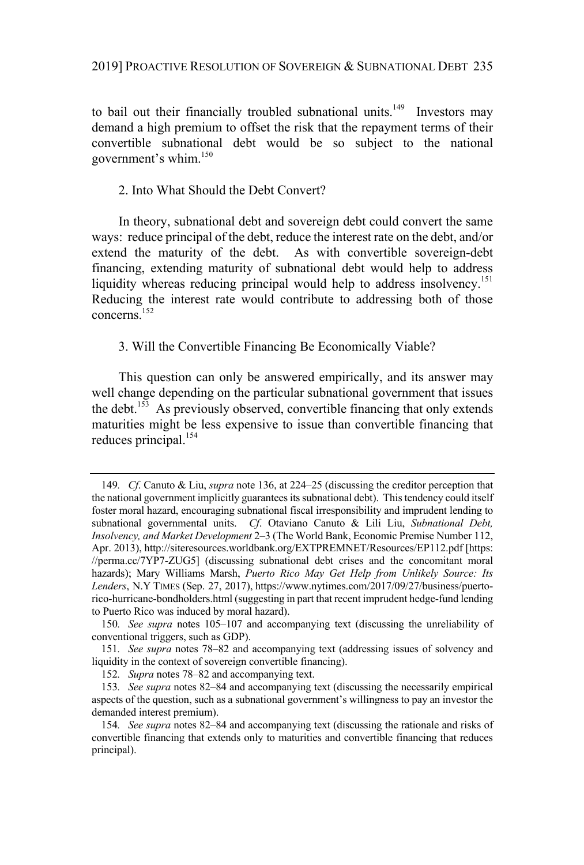to bail out their financially troubled subnational units.<sup>149</sup> Investors may demand a high premium to offset the risk that the repayment terms of their convertible subnational debt would be so subject to the national government's whim.<sup>150</sup>

## 2. Into What Should the Debt Convert?

In theory, subnational debt and sovereign debt could convert the same ways: reduce principal of the debt, reduce the interest rate on the debt, and/or extend the maturity of the debt. As with convertible sovereign-debt financing, extending maturity of subnational debt would help to address liquidity whereas reducing principal would help to address insolvency.<sup>151</sup> Reducing the interest rate would contribute to addressing both of those concerns. 152

## 3. Will the Convertible Financing Be Economically Viable?

This question can only be answered empirically, and its answer may well change depending on the particular subnational government that issues the debt.<sup>153</sup> As previously observed, convertible financing that only extends maturities might be less expensive to issue than convertible financing that reduces principal.<sup>154</sup>

<sup>149</sup>*. Cf*. Canuto & Liu, *supra* note 136, at 224–25 (discussing the creditor perception that the national government implicitly guaranteesitssubnational debt). Thistendency could itself foster moral hazard, encouraging subnational fiscal irresponsibility and imprudent lending to subnational governmental units. *Cf*. Otaviano Canuto & Lili Liu, *Subnational Debt, Insolvency, and Market Development* 2–3 (The World Bank, Economic Premise Number 112, Apr. 2013), http://siteresources.worldbank.org/EXTPREMNET/Resources/EP112.pdf [https: //perma.cc/7YP7-ZUG5] (discussing subnational debt crises and the concomitant moral hazards); Mary Williams Marsh, *Puerto Rico May Get Help from Unlikely Source: Its Lenders*, N.Y TIMES (Sep. 27, 2017), https://www.nytimes.com/2017/09/27/business/puertorico-hurricane-bondholders.html (suggesting in part that recent imprudent hedge-fund lending to Puerto Rico was induced by moral hazard).

<sup>150</sup>*. See supra* notes 105–107 and accompanying text (discussing the unreliability of conventional triggers, such as GDP).

<sup>151</sup>*. See supra* notes 78–82 and accompanying text (addressing issues of solvency and liquidity in the context of sovereign convertible financing).

<sup>152</sup>*. Supra* notes 78–82 and accompanying text.

<sup>153</sup>*. See supra* notes 82–84 and accompanying text (discussing the necessarily empirical aspects of the question, such as a subnational government's willingness to pay an investor the demanded interest premium).

<sup>154</sup>*. See supra* notes 82–84 and accompanying text (discussing the rationale and risks of convertible financing that extends only to maturities and convertible financing that reduces principal).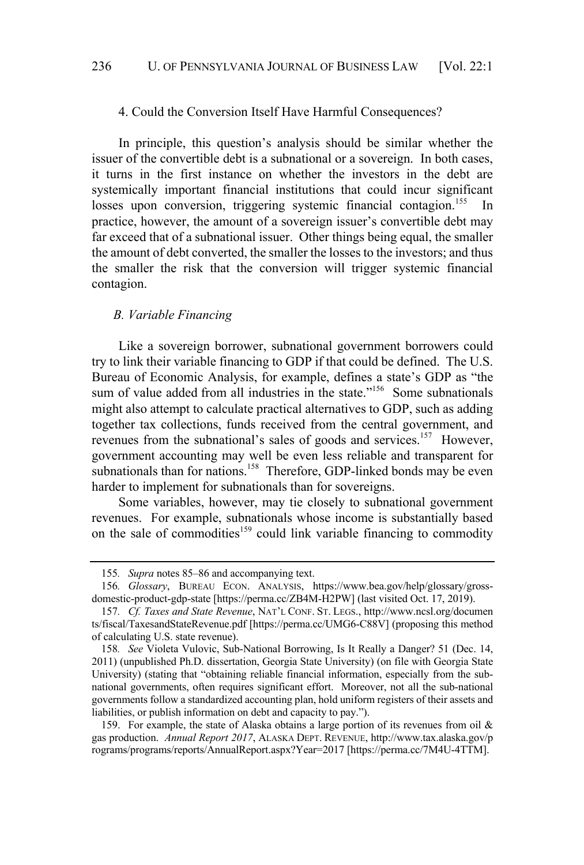#### 4. Could the Conversion Itself Have Harmful Consequences?

In principle, this question's analysis should be similar whether the issuer of the convertible debt is a subnational or a sovereign. In both cases, it turns in the first instance on whether the investors in the debt are systemically important financial institutions that could incur significant losses upon conversion, triggering systemic financial contagion.<sup>155</sup> In practice, however, the amount of a sovereign issuer's convertible debt may far exceed that of a subnational issuer. Other things being equal, the smaller the amount of debt converted, the smaller the losses to the investors; and thus the smaller the risk that the conversion will trigger systemic financial contagion.

## *B. Variable Financing*

Like a sovereign borrower, subnational government borrowers could try to link their variable financing to GDP if that could be defined. The U.S. Bureau of Economic Analysis, for example, defines a state's GDP as "the sum of value added from all industries in the state."<sup>156</sup> Some subnationals might also attempt to calculate practical alternatives to GDP, such as adding together tax collections, funds received from the central government, and revenues from the subnational's sales of goods and services.<sup>157</sup> However, government accounting may well be even less reliable and transparent for subnationals than for nations.<sup>158</sup> Therefore, GDP-linked bonds may be even harder to implement for subnationals than for sovereigns.

Some variables, however, may tie closely to subnational government revenues. For example, subnationals whose income is substantially based on the sale of commodities<sup>159</sup> could link variable financing to commodity

<sup>155</sup>*. Supra* notes 85–86 and accompanying text.

<sup>156</sup>*. Glossary*, BUREAU ECON. ANALYSIS, https://www.bea.gov/help/glossary/grossdomestic-product-gdp-state [https://perma.cc/ZB4M-H2PW] (last visited Oct. 17, 2019).

<sup>157</sup>*. Cf. Taxes and State Revenue*, NAT'L CONF. ST. LEGS., http://www.ncsl.org/documen ts/fiscal/TaxesandStateRevenue.pdf [https://perma.cc/UMG6-C88V] (proposing this method of calculating U.S. state revenue).

<sup>158</sup>*. See* Violeta Vulovic, Sub-National Borrowing, Is It Really a Danger? 51 (Dec. 14, 2011) (unpublished Ph.D. dissertation, Georgia State University) (on file with Georgia State University) (stating that "obtaining reliable financial information, especially from the subnational governments, often requires significant effort. Moreover, not all the sub-national governments follow a standardized accounting plan, hold uniform registers of their assets and liabilities, or publish information on debt and capacity to pay.").

<sup>159.</sup> For example, the state of Alaska obtains a large portion of its revenues from oil & gas production. *Annual Report 2017*, ALASKA DEPT. REVENUE, http://www.tax.alaska.gov/p rograms/programs/reports/AnnualReport.aspx?Year=2017 [https://perma.cc/7M4U-4TTM].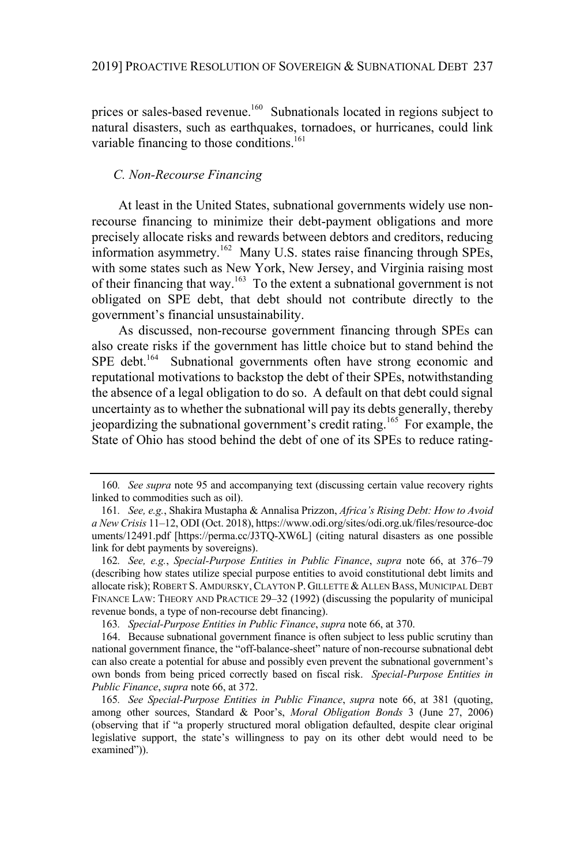prices or sales-based revenue.<sup>160</sup> Subnationals located in regions subject to natural disasters, such as earthquakes, tornadoes, or hurricanes, could link variable financing to those conditions.<sup>161</sup>

## *C. Non-Recourse Financing*

At least in the United States, subnational governments widely use nonrecourse financing to minimize their debt-payment obligations and more precisely allocate risks and rewards between debtors and creditors, reducing information asymmetry.<sup>162</sup> Many U.S. states raise financing through SPEs, with some states such as New York, New Jersey, and Virginia raising most of their financing that way.<sup>163</sup> To the extent a subnational government is not obligated on SPE debt, that debt should not contribute directly to the government's financial unsustainability.

As discussed, non-recourse government financing through SPEs can also create risks if the government has little choice but to stand behind the SPE debt.<sup>164</sup> Subnational governments often have strong economic and reputational motivations to backstop the debt of their SPEs, notwithstanding the absence of a legal obligation to do so. A default on that debt could signal uncertainty as to whether the subnational will pay its debts generally, thereby jeopardizing the subnational government's credit rating. <sup>165</sup> For example, the State of Ohio has stood behind the debt of one of its SPEs to reduce rating-

<sup>160</sup>*. See supra* note 95 and accompanying text (discussing certain value recovery rights linked to commodities such as oil).

<sup>161</sup>*. See, e.g.*, Shakira Mustapha & Annalisa Prizzon, *Africa's Rising Debt: How to Avoid a New Crisis* 11–12, ODI (Oct. 2018), https://www.odi.org/sites/odi.org.uk/files/resource-doc uments/12491.pdf [https://perma.cc/J3TQ-XW6L] (citing natural disasters as one possible link for debt payments by sovereigns).

<sup>162</sup>*. See, e.g.*, *Special-Purpose Entities in Public Finance*, *supra* note 66, at 376–79 (describing how states utilize special purpose entities to avoid constitutional debt limits and allocate risk); ROBERT S. AMDURSKY, CLAYTON P. GILLETTE & ALLEN BASS, MUNICIPAL DEBT FINANCE LAW: THEORY AND PRACTICE 29–32 (1992) (discussing the popularity of municipal revenue bonds, a type of non-recourse debt financing).

<sup>163</sup>*. Special-Purpose Entities in Public Finance*, *supra* note 66, at 370.

<sup>164.</sup> Because subnational government finance is often subject to less public scrutiny than national government finance, the "off-balance-sheet" nature of non-recourse subnational debt can also create a potential for abuse and possibly even prevent the subnational government's own bonds from being priced correctly based on fiscal risk. *Special-Purpose Entities in Public Finance*, *supra* note 66, at 372.

<sup>165</sup>*. See Special-Purpose Entities in Public Finance*, *supra* note 66, at 381 (quoting, among other sources, Standard & Poor's, *Moral Obligation Bonds* 3 (June 27, 2006) (observing that if "a properly structured moral obligation defaulted, despite clear original legislative support, the state's willingness to pay on its other debt would need to be examined")).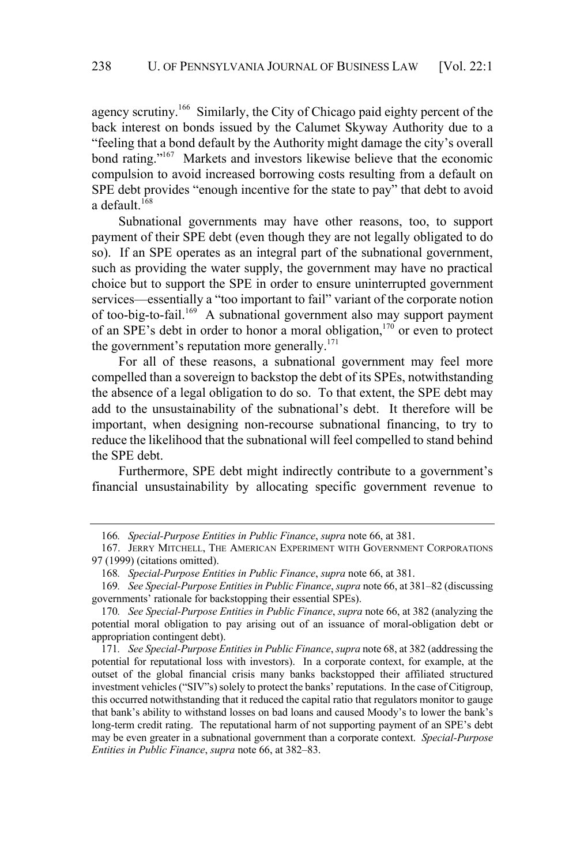agency scrutiny.<sup>166</sup> Similarly, the City of Chicago paid eighty percent of the back interest on bonds issued by the Calumet Skyway Authority due to a "feeling that a bond default by the Authority might damage the city's overall bond rating."<sup>167</sup> Markets and investors likewise believe that the economic compulsion to avoid increased borrowing costs resulting from a default on SPE debt provides "enough incentive for the state to pay" that debt to avoid a default. 168

Subnational governments may have other reasons, too, to support payment of their SPE debt (even though they are not legally obligated to do so). If an SPE operates as an integral part of the subnational government, such as providing the water supply, the government may have no practical choice but to support the SPE in order to ensure uninterrupted government services—essentially a "too important to fail" variant of the corporate notion of too-big-to-fail.<sup>169</sup> A subnational government also may support payment of an SPE's debt in order to honor a moral obligation,<sup>170</sup> or even to protect the government's reputation more generally.<sup>171</sup>

For all of these reasons, a subnational government may feel more compelled than a sovereign to backstop the debt of its SPEs, notwithstanding the absence of a legal obligation to do so. To that extent, the SPE debt may add to the unsustainability of the subnational's debt. It therefore will be important, when designing non-recourse subnational financing, to try to reduce the likelihood that the subnational will feel compelled to stand behind the SPE debt.

Furthermore, SPE debt might indirectly contribute to a government's financial unsustainability by allocating specific government revenue to

<sup>166</sup>*. Special-Purpose Entities in Public Finance*, *supra* note 66, at 381.

<sup>167.</sup> JERRY MITCHELL, THE AMERICAN EXPERIMENT WITH GOVERNMENT CORPORATIONS 97 (1999) (citations omitted).

<sup>168</sup>*. Special-Purpose Entities in Public Finance*, *supra* note 66, at 381.

<sup>169</sup>*. See Special-Purpose Entities in Public Finance*, *supra* note 66, at 381–82 (discussing governments' rationale for backstopping their essential SPEs).

<sup>170</sup>*. See Special-Purpose Entities in Public Finance*, *supra* note 66, at 382 (analyzing the potential moral obligation to pay arising out of an issuance of moral-obligation debt or appropriation contingent debt).

<sup>171</sup>*. See Special-Purpose Entities in Public Finance*, *supra* note 68, at 382 (addressing the potential for reputational loss with investors). In a corporate context, for example, at the outset of the global financial crisis many banks backstopped their affiliated structured investment vehicles ("SIV"s) solely to protect the banks' reputations. In the case of Citigroup, this occurred notwithstanding that it reduced the capital ratio that regulators monitor to gauge that bank's ability to withstand losses on bad loans and caused Moody's to lower the bank's long-term credit rating. The reputational harm of not supporting payment of an SPE's debt may be even greater in a subnational government than a corporate context. *Special-Purpose Entities in Public Finance*, *supra* note 66, at 382–83.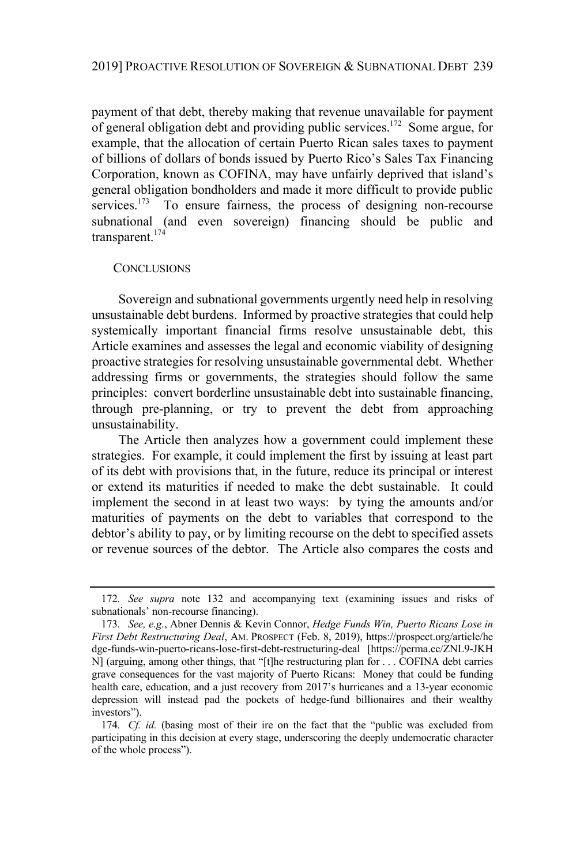payment of that debt, thereby making that revenue unavailable for payment of general obligation debt and providing public services.<sup>172</sup> Some argue, for example, that the allocation of certain Puerto Rican sales taxes to payment of billions of dollars of bonds issued by Puerto Rico's Sales Tax Financing Corporation, known as COFINA, may have unfairly deprived that island's general obligation bondholders and made it more difficult to provide public services.<sup>173</sup> To ensure fairness, the process of designing non-recourse subnational (and even sovereign) financing should be public and transparent.<sup>174</sup>

#### **CONCLUSIONS**

Sovereign and subnational governments urgently need help in resolving unsustainable debt burdens. Informed by proactive strategies that could help systemically important financial firms resolve unsustainable debt, this Article examines and assesses the legal and economic viability of designing proactive strategies for resolving unsustainable governmental debt. Whether addressing firms or governments, the strategies should follow the same principles: convert borderline unsustainable debt into sustainable financing, through pre-planning, or try to prevent the debt from approaching unsustainability.

The Article then analyzes how a government could implement these strategies. For example, it could implement the first by issuing at least part of its debt with provisions that, in the future, reduce its principal or interest or extend its maturities if needed to make the debt sustainable. It could implement the second in at least two ways: by tying the amounts and/or maturities of payments on the debt to variables that correspond to the debtor's ability to pay, or by limiting recourse on the debt to specified assets or revenue sources of the debtor. The Article also compares the costs and

<sup>172</sup>*. See supra* note 132 and accompanying text (examining issues and risks of subnationals' non-recourse financing).

<sup>173</sup>*. See, e.g.*, Abner Dennis & Kevin Connor, *Hedge Funds Win, Puerto Ricans Lose in First Debt Restructuring Deal*, AM. PROSPECT (Feb. 8, 2019), https://prospect.org/article/he dge-funds-win-puerto-ricans-lose-first-debt-restructuring-deal [https://perma.cc/ZNL9-JKH N] (arguing, among other things, that "[t]he restructuring plan for . . . COFINA debt carries grave consequences for the vast majority of Puerto Ricans: Money that could be funding health care, education, and a just recovery from 2017's hurricanes and a 13-year economic depression will instead pad the pockets of hedge-fund billionaires and their wealthy investors").

<sup>174</sup>*. Cf. id.* (basing most of their ire on the fact that the "public was excluded from participating in this decision at every stage, underscoring the deeply undemocratic character of the whole process").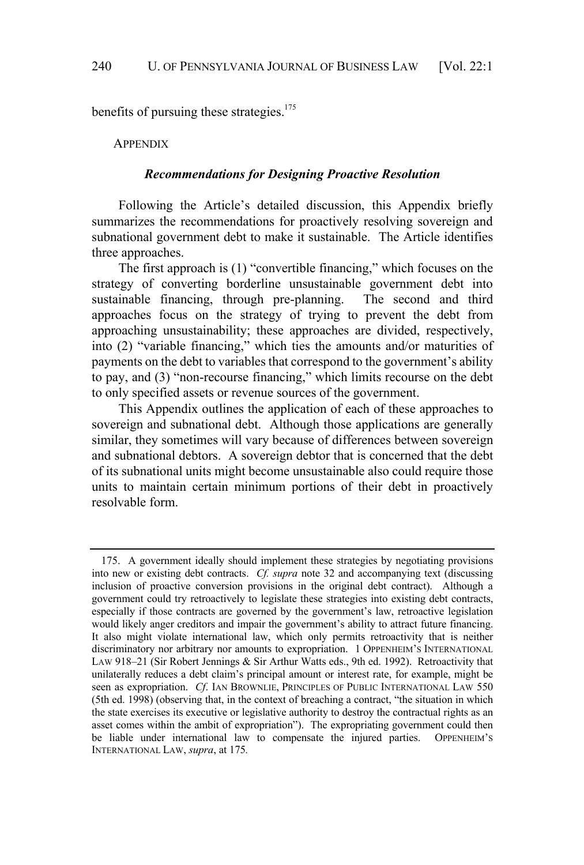benefits of pursuing these strategies. $175$ 

**APPENDIX** 

#### *Recommendations for Designing Proactive Resolution*

Following the Article's detailed discussion, this Appendix briefly summarizes the recommendations for proactively resolving sovereign and subnational government debt to make it sustainable. The Article identifies three approaches.

The first approach is (1) "convertible financing," which focuses on the strategy of converting borderline unsustainable government debt into sustainable financing, through pre-planning. The second and third approaches focus on the strategy of trying to prevent the debt from approaching unsustainability; these approaches are divided, respectively, into (2) "variable financing," which ties the amounts and/or maturities of payments on the debt to variables that correspond to the government's ability to pay, and (3) "non-recourse financing," which limits recourse on the debt to only specified assets or revenue sources of the government.

This Appendix outlines the application of each of these approaches to sovereign and subnational debt. Although those applications are generally similar, they sometimes will vary because of differences between sovereign and subnational debtors. A sovereign debtor that is concerned that the debt of its subnational units might become unsustainable also could require those units to maintain certain minimum portions of their debt in proactively resolvable form.

<sup>175.</sup> A government ideally should implement these strategies by negotiating provisions into new or existing debt contracts. *Cf. supra* note 32 and accompanying text (discussing inclusion of proactive conversion provisions in the original debt contract). Although a government could try retroactively to legislate these strategies into existing debt contracts, especially if those contracts are governed by the government's law, retroactive legislation would likely anger creditors and impair the government's ability to attract future financing. It also might violate international law, which only permits retroactivity that is neither discriminatory nor arbitrary nor amounts to expropriation. 1 OPPENHEIM'S INTERNATIONAL LAW 918–21 (Sir Robert Jennings & Sir Arthur Watts eds., 9th ed. 1992). Retroactivity that unilaterally reduces a debt claim's principal amount or interest rate, for example, might be seen as expropriation. *Cf*. IAN BROWNLIE, PRINCIPLES OF PUBLIC INTERNATIONAL LAW 550 (5th ed. 1998) (observing that, in the context of breaching a contract, "the situation in which the state exercises its executive or legislative authority to destroy the contractual rights as an asset comes within the ambit of expropriation"). The expropriating government could then be liable under international law to compensate the injured parties. OPPENHEIM's INTERNATIONAL LAW, *supra*, at 175*.*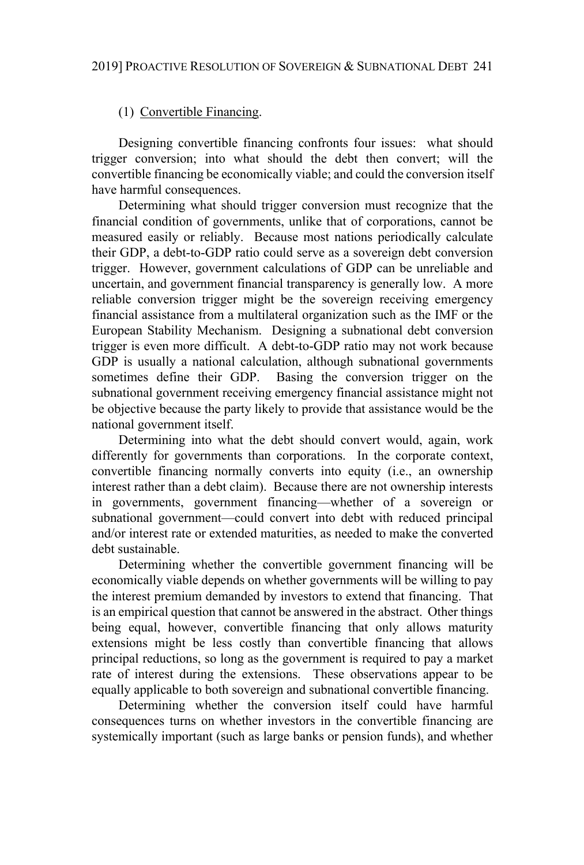# (1) Convertible Financing.

Designing convertible financing confronts four issues: what should trigger conversion; into what should the debt then convert; will the convertible financing be economically viable; and could the conversion itself have harmful consequences.

Determining what should trigger conversion must recognize that the financial condition of governments, unlike that of corporations, cannot be measured easily or reliably. Because most nations periodically calculate their GDP, a debt-to-GDP ratio could serve as a sovereign debt conversion trigger. However, government calculations of GDP can be unreliable and uncertain, and government financial transparency is generally low. A more reliable conversion trigger might be the sovereign receiving emergency financial assistance from a multilateral organization such as the IMF or the European Stability Mechanism. Designing a subnational debt conversion trigger is even more difficult. A debt-to-GDP ratio may not work because GDP is usually a national calculation, although subnational governments sometimes define their GDP. Basing the conversion trigger on the subnational government receiving emergency financial assistance might not be objective because the party likely to provide that assistance would be the national government itself.

Determining into what the debt should convert would, again, work differently for governments than corporations. In the corporate context, convertible financing normally converts into equity (i.e., an ownership interest rather than a debt claim). Because there are not ownership interests in governments, government financing—whether of a sovereign or subnational government—could convert into debt with reduced principal and/or interest rate or extended maturities, as needed to make the converted debt sustainable.

Determining whether the convertible government financing will be economically viable depends on whether governments will be willing to pay the interest premium demanded by investors to extend that financing. That is an empirical question that cannot be answered in the abstract. Other things being equal, however, convertible financing that only allows maturity extensions might be less costly than convertible financing that allows principal reductions, so long as the government is required to pay a market rate of interest during the extensions. These observations appear to be equally applicable to both sovereign and subnational convertible financing.

Determining whether the conversion itself could have harmful consequences turns on whether investors in the convertible financing are systemically important (such as large banks or pension funds), and whether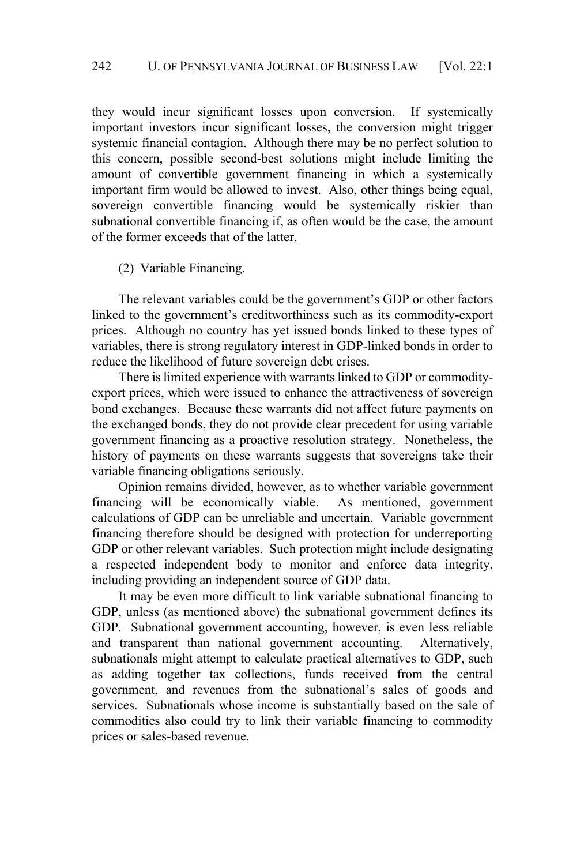they would incur significant losses upon conversion. If systemically important investors incur significant losses, the conversion might trigger systemic financial contagion. Although there may be no perfect solution to this concern, possible second-best solutions might include limiting the amount of convertible government financing in which a systemically important firm would be allowed to invest. Also, other things being equal, sovereign convertible financing would be systemically riskier than subnational convertible financing if, as often would be the case, the amount of the former exceeds that of the latter.

## (2) Variable Financing.

The relevant variables could be the government's GDP or other factors linked to the government's creditworthiness such as its commodity-export prices. Although no country has yet issued bonds linked to these types of variables, there is strong regulatory interest in GDP-linked bonds in order to reduce the likelihood of future sovereign debt crises.

There is limited experience with warrants linked to GDP or commodityexport prices, which were issued to enhance the attractiveness of sovereign bond exchanges. Because these warrants did not affect future payments on the exchanged bonds, they do not provide clear precedent for using variable government financing as a proactive resolution strategy. Nonetheless, the history of payments on these warrants suggests that sovereigns take their variable financing obligations seriously.

Opinion remains divided, however, as to whether variable government financing will be economically viable. As mentioned, government calculations of GDP can be unreliable and uncertain. Variable government financing therefore should be designed with protection for underreporting GDP or other relevant variables. Such protection might include designating a respected independent body to monitor and enforce data integrity, including providing an independent source of GDP data.

It may be even more difficult to link variable subnational financing to GDP, unless (as mentioned above) the subnational government defines its GDP. Subnational government accounting, however, is even less reliable and transparent than national government accounting. Alternatively, subnationals might attempt to calculate practical alternatives to GDP, such as adding together tax collections, funds received from the central government, and revenues from the subnational's sales of goods and services. Subnationals whose income is substantially based on the sale of commodities also could try to link their variable financing to commodity prices or sales-based revenue.